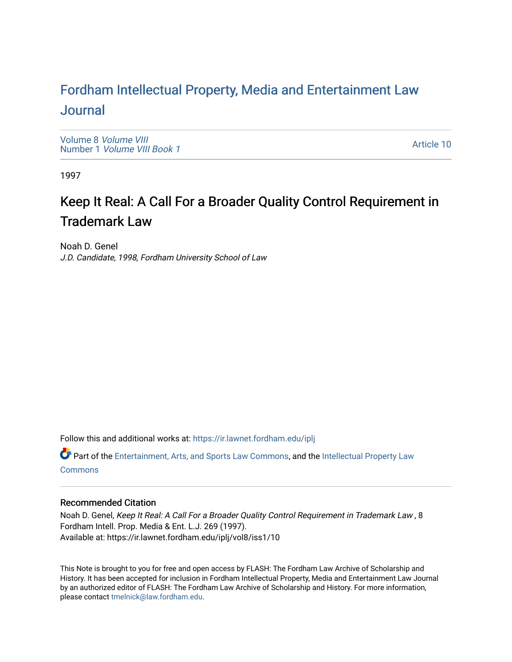# For[dham Intellectual Property, Media and Enter](https://ir.lawnet.fordham.edu/iplj)tainment Law [Journal](https://ir.lawnet.fordham.edu/iplj)

[Volume 8](https://ir.lawnet.fordham.edu/iplj/vol8) Volume VIII Number 1 [Volume VIII Book 1](https://ir.lawnet.fordham.edu/iplj/vol8/iss1)

[Article 10](https://ir.lawnet.fordham.edu/iplj/vol8/iss1/10) 

1997

# Keep It Real: A Call For a Broader Quality Control Requirement in Trademark Law

Noah D. Genel J.D. Candidate, 1998, Fordham University School of Law

Follow this and additional works at: [https://ir.lawnet.fordham.edu/iplj](https://ir.lawnet.fordham.edu/iplj?utm_source=ir.lawnet.fordham.edu%2Fiplj%2Fvol8%2Fiss1%2F10&utm_medium=PDF&utm_campaign=PDFCoverPages) 

Part of the [Entertainment, Arts, and Sports Law Commons](http://network.bepress.com/hgg/discipline/893?utm_source=ir.lawnet.fordham.edu%2Fiplj%2Fvol8%2Fiss1%2F10&utm_medium=PDF&utm_campaign=PDFCoverPages), and the [Intellectual Property Law](http://network.bepress.com/hgg/discipline/896?utm_source=ir.lawnet.fordham.edu%2Fiplj%2Fvol8%2Fiss1%2F10&utm_medium=PDF&utm_campaign=PDFCoverPages) **[Commons](http://network.bepress.com/hgg/discipline/896?utm_source=ir.lawnet.fordham.edu%2Fiplj%2Fvol8%2Fiss1%2F10&utm_medium=PDF&utm_campaign=PDFCoverPages)** 

# Recommended Citation

Noah D. Genel, Keep It Real: A Call For a Broader Quality Control Requirement in Trademark Law , 8 Fordham Intell. Prop. Media & Ent. L.J. 269 (1997). Available at: https://ir.lawnet.fordham.edu/iplj/vol8/iss1/10

This Note is brought to you for free and open access by FLASH: The Fordham Law Archive of Scholarship and History. It has been accepted for inclusion in Fordham Intellectual Property, Media and Entertainment Law Journal by an authorized editor of FLASH: The Fordham Law Archive of Scholarship and History. For more information, please contact [tmelnick@law.fordham.edu](mailto:tmelnick@law.fordham.edu).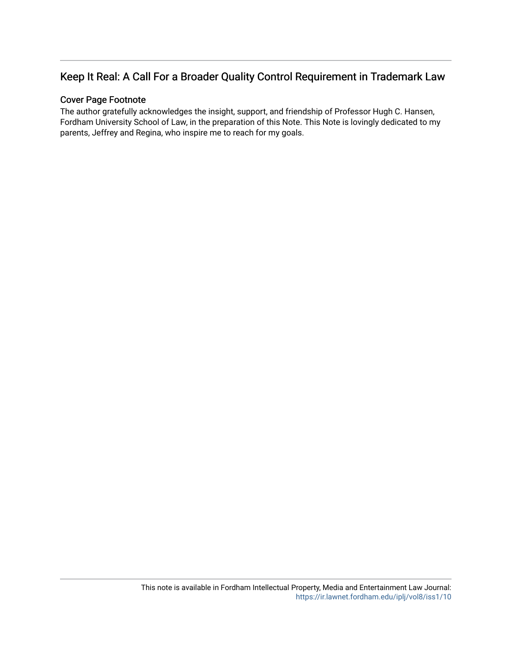# Keep It Real: A Call For a Broader Quality Control Requirement in Trademark Law

# Cover Page Footnote

The author gratefully acknowledges the insight, support, and friendship of Professor Hugh C. Hansen, Fordham University School of Law, in the preparation of this Note. This Note is lovingly dedicated to my parents, Jeffrey and Regina, who inspire me to reach for my goals.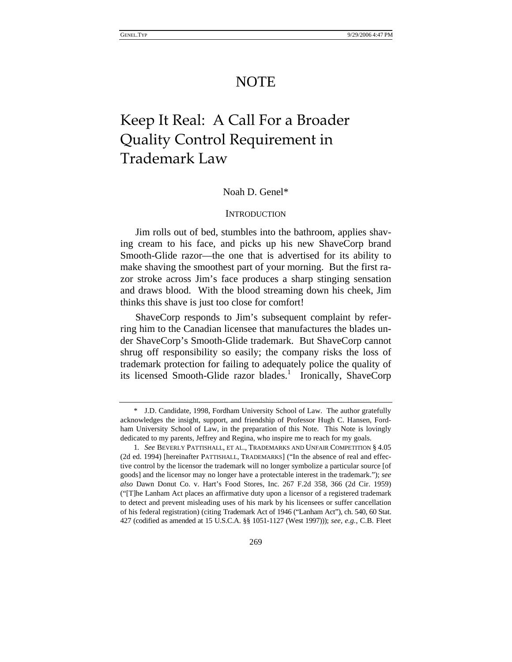# NOTE

# Keep It Real: A Call For a Broader Quality Control Requirement in Trademark Law

# Noah D. Genel\*

### **INTRODUCTION**

Jim rolls out of bed, stumbles into the bathroom, applies shaving cream to his face, and picks up his new ShaveCorp brand Smooth-Glide razor—the one that is advertised for its ability to make shaving the smoothest part of your morning. But the first razor stroke across Jim's face produces a sharp stinging sensation and draws blood. With the blood streaming down his cheek, Jim thinks this shave is just too close for comfort!

ShaveCorp responds to Jim's subsequent complaint by referring him to the Canadian licensee that manufactures the blades under ShaveCorp's Smooth-Glide trademark. But ShaveCorp cannot shrug off responsibility so easily; the company risks the loss of trademark protection for failing to adequately police the quality of its licensed Smooth-Glide razor blades.<sup>1</sup> Ironically, ShaveCorp

<sup>\*</sup> J.D. Candidate, 1998, Fordham University School of Law. The author gratefully acknowledges the insight, support, and friendship of Professor Hugh C. Hansen, Fordham University School of Law, in the preparation of this Note. This Note is lovingly dedicated to my parents, Jeffrey and Regina, who inspire me to reach for my goals.

<sup>1</sup>*. See* BEVERLY PATTISHALL, ET AL., TRADEMARKS AND UNFAIR COMPETITION § 4.05 (2d ed. 1994) [hereinafter PATTISHALL, TRADEMARKS] ("In the absence of real and effective control by the licensor the trademark will no longer symbolize a particular source [of goods] and the licensor may no longer have a protectable interest in the trademark."); *see also* Dawn Donut Co. v. Hart's Food Stores, Inc. 267 F.2d 358, 366 (2d Cir. 1959) ("[T]he Lanham Act places an affirmative duty upon a licensor of a registered trademark to detect and prevent misleading uses of his mark by his licensees or suffer cancellation of his federal registration) (citing Trademark Act of 1946 ("Lanham Act"), ch. 540, 60 Stat. 427 (codified as amended at 15 U.S.C.A. §§ 1051-1127 (West 1997))); *see, e.g.*, C.B. Fleet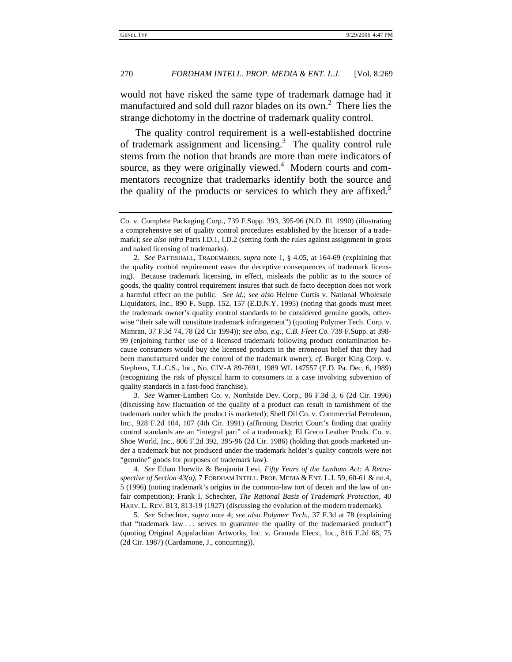would not have risked the same type of trademark damage had it manufactured and sold dull razor blades on its own.<sup>2</sup> There lies the strange dichotomy in the doctrine of trademark quality control.

The quality control requirement is a well-established doctrine of trademark assignment and licensing.<sup>3</sup> The quality control rule stems from the notion that brands are more than mere indicators of source, as they were originally viewed.<sup>4</sup> Modern courts and commentators recognize that trademarks identify both the source and the quality of the products or services to which they are affixed.<sup>5</sup>

3*. See* Warner-Lambert Co. v. Northside Dev. Corp., 86 F.3d 3, 6 (2d Cir. 1996) (discussing how fluctuation of the quality of a product can result in tarnishment of the trademark under which the product is marketed); Shell Oil Co. v. Commercial Petroleum, Inc., 928 F.2d 104, 107 (4th Cir. 1991) (affirming District Court's finding that quality control standards are an "integral part" of a trademark); El Greco Leather Prods. Co. v. Shoe World, Inc., 806 F.2d 392, 395-96 (2d Cir. 1986) (holding that goods marketed under a trademark but not produced under the trademark holder's quality controls were not "genuine" goods for purposes of trademark law).

4*. See* Ethan Horwitz & Benjamin Levi, *Fifty Years of the Lanham Act: A Retrospective of Section 43(a)*, 7 FORDHAM INTELL. PROP. MEDIA & ENT. L.J. 59, 60-61 & nn.4, 5 (1996) (noting trademark's origins in the common-law tort of deceit and the law of unfair competition); Frank I. Schechter, *The Rational Basis of Trademark Protection*, 40 HARV. L. REV. 813, 813-19 (1927) (discussing the evolution of the modern trademark).

5*. See* Schechter, *supra* note 4; *see also Polymer Tech.*, 37 F.3d at 78 (explaining that "trademark law . . . serves to guarantee the quality of the trademarked product") (quoting Original Appalachian Artworks, Inc. v. Granada Elecs., Inc., 816 F.2d 68, 75 (2d Cir. 1987) (Cardamone, J., concurring)).

Co. v. Complete Packaging Corp., 739 F.Supp. 393, 395-96 (N.D. Ill. 1990) (illustrating a comprehensive set of quality control procedures established by the licensor of a trademark); *see also infra* Parts I.D.1, I.D.2 (setting forth the rules against assignment in gross and naked licensing of trademarks).

<sup>2</sup>*. See* PATTISHALL, TRADEMARKS, *supra* note 1, § 4.05, at 164-69 (explaining that the quality control requirement eases the deceptive consequences of trademark licensing). Because trademark licensing, in effect, misleads the public as to the source of goods, the quality control requirement insures that such de facto deception does not work a harmful effect on the public. *See id.*; *see also* Helene Curtis v. National Wholesale Liquidators, Inc., 890 F. Supp. 152, 157 (E.D.N.Y. 1995) (noting that goods must meet the trademark owner's quality control standards to be considered genuine goods, otherwise "their sale will constitute trademark infringement") (quoting Polymer Tech. Corp. v. Mimran, 37 F.3d 74, 78 (2d Cir 1994)); *see also, e.g.*, *C.B. Fleet Co.* 739 F.Supp. at 398- 99 (enjoining further use of a licensed trademark following product contamination because consumers would buy the licensed products in the erroneous belief that they had been manufactured under the control of the trademark owner); *cf.* Burger King Corp. v. Stephens, T.L.C.S., Inc., No. CIV-A 89-7691, 1989 WL 147557 (E.D. Pa. Dec. 6, 1989) (recognizing the risk of physical harm to consumers in a case involving subversion of quality standards in a fast-food franchise).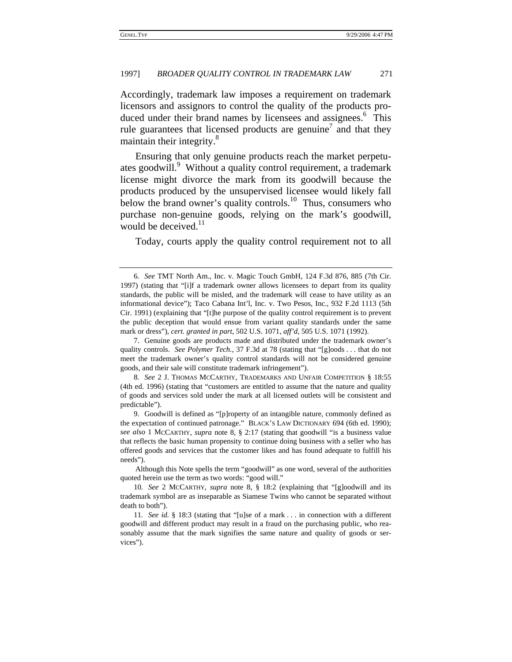Accordingly, trademark law imposes a requirement on trademark licensors and assignors to control the quality of the products produced under their brand names by licensees and assignees.<sup>6</sup> This rule guarantees that licensed products are genuine<sup>7</sup> and that they maintain their integrity.<sup>8</sup>

Ensuring that only genuine products reach the market perpetuates goodwill.<sup>9</sup> Without a quality control requirement, a trademark license might divorce the mark from its goodwill because the products produced by the unsupervised licensee would likely fall below the brand owner's quality controls.<sup>10</sup> Thus, consumers who purchase non-genuine goods, relying on the mark's goodwill, would be deceived.<sup>11</sup>

Today, courts apply the quality control requirement not to all

<sup>6</sup>*. See* TMT North Am., Inc. v. Magic Touch GmbH, 124 F.3d 876, 885 (7th Cir. 1997) (stating that "[i]f a trademark owner allows licensees to depart from its quality standards, the public will be misled, and the trademark will cease to have utility as an informational device"); Taco Cabana Int'l, Inc. v. Two Pesos, Inc., 932 F.2d 1113 (5th Cir. 1991) (explaining that "[t]he purpose of the quality control requirement is to prevent the public deception that would ensue from variant quality standards under the same mark or dress"), *cert. granted in part*, 502 U.S. 1071, *aff'd*, 505 U.S. 1071 (1992).

<sup>7.</sup> Genuine goods are products made and distributed under the trademark owner's quality controls. *See Polymer Tech.*, 37 F.3d at 78 (stating that "[g]oods . . . that do not meet the trademark owner's quality control standards will not be considered genuine goods, and their sale will constitute trademark infringement").

<sup>8</sup>*. See* 2 J. THOMAS MCCARTHY, TRADEMARKS AND UNFAIR COMPETITION § 18:55 (4th ed. 1996) (stating that "customers are entitled to assume that the nature and quality of goods and services sold under the mark at all licensed outlets will be consistent and predictable").

<sup>9.</sup> Goodwill is defined as "[p]roperty of an intangible nature, commonly defined as the expectation of continued patronage." BLACK'S LAW DICTIONARY 694 (6th ed. 1990); *see also* 1 MCCARTHY, *supra* note 8, § 2:17 (stating that goodwill "is a business value that reflects the basic human propensity to continue doing business with a seller who has offered goods and services that the customer likes and has found adequate to fulfill his needs").

Although this Note spells the term "goodwill" as one word, several of the authorities quoted herein use the term as two words: "good will."

<sup>10</sup>*. See* 2 MCCARTHY, *supra* note 8, § 18:2 (explaining that "[g]oodwill and its trademark symbol are as inseparable as Siamese Twins who cannot be separated without death to both").

<sup>11</sup>*. See id.* § 18:3 (stating that "[u]se of a mark . . . in connection with a different goodwill and different product may result in a fraud on the purchasing public, who reasonably assume that the mark signifies the same nature and quality of goods or services").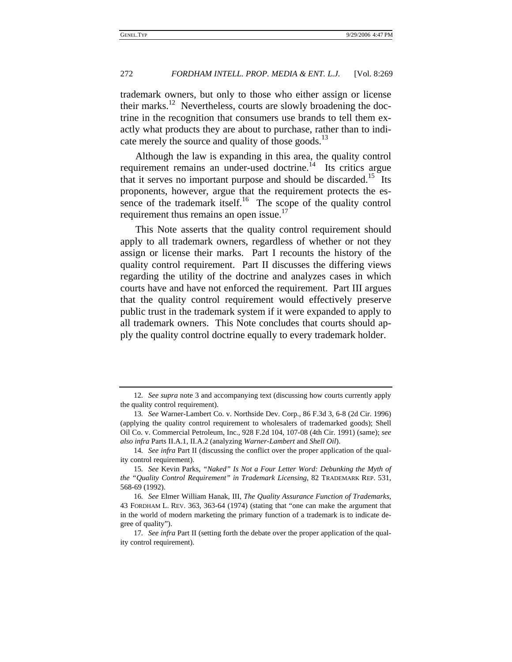trademark owners, but only to those who either assign or license their marks.<sup>12</sup> Nevertheless, courts are slowly broadening the doctrine in the recognition that consumers use brands to tell them exactly what products they are about to purchase, rather than to indicate merely the source and quality of those goods.<sup>13</sup>

Although the law is expanding in this area, the quality control requirement remains an under-used doctrine.<sup>14</sup> Its critics argue that it serves no important purpose and should be discarded.<sup>15</sup> Its proponents, however, argue that the requirement protects the essence of the trademark itself.<sup>16</sup> The scope of the quality control requirement thus remains an open issue.<sup>17</sup>

This Note asserts that the quality control requirement should apply to all trademark owners, regardless of whether or not they assign or license their marks. Part I recounts the history of the quality control requirement. Part II discusses the differing views regarding the utility of the doctrine and analyzes cases in which courts have and have not enforced the requirement. Part III argues that the quality control requirement would effectively preserve public trust in the trademark system if it were expanded to apply to all trademark owners. This Note concludes that courts should apply the quality control doctrine equally to every trademark holder.

<sup>12</sup>*. See supra* note 3 and accompanying text (discussing how courts currently apply the quality control requirement).

<sup>13</sup>*. See* Warner-Lambert Co. v. Northside Dev. Corp., 86 F.3d 3, 6-8 (2d Cir. 1996) (applying the quality control requirement to wholesalers of trademarked goods); Shell Oil Co. v. Commercial Petroleum, Inc., 928 F.2d 104, 107-08 (4th Cir. 1991) (same); *see also infra* Parts II.A.1, II.A.2 (analyzing *Warner-Lambert* and *Shell Oil*).

<sup>14</sup>*. See infra* Part II (discussing the conflict over the proper application of the quality control requirement).

<sup>15</sup>*. See* Kevin Parks, *"Naked" Is Not a Four Letter Word: Debunking the Myth of the "Quality Control Requirement" in Trademark Licensing*, 82 TRADEMARK REP. 531, 568-69 (1992).

<sup>16</sup>*. See* Elmer William Hanak, III, *The Quality Assurance Function of Trademarks*, 43 FORDHAM L. REV. 363, 363-64 (1974) (stating that "one can make the argument that in the world of modern marketing the primary function of a trademark is to indicate degree of quality").

<sup>17</sup>*. See infra* Part II (setting forth the debate over the proper application of the quality control requirement).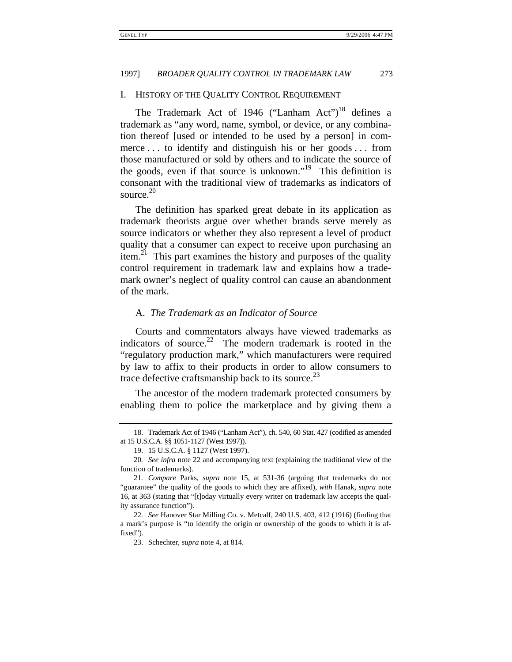### I. HISTORY OF THE QUALITY CONTROL REQUIREMENT

The Trademark Act of 1946 ("Lanham Act")<sup>18</sup> defines a trademark as "any word, name, symbol, or device, or any combination thereof [used or intended to be used by a person] in commerce . . . to identify and distinguish his or her goods . . . from those manufactured or sold by others and to indicate the source of the goods, even if that source is unknown."19 This definition is consonant with the traditional view of trademarks as indicators of source.<sup>20</sup>

The definition has sparked great debate in its application as trademark theorists argue over whether brands serve merely as source indicators or whether they also represent a level of product quality that a consumer can expect to receive upon purchasing an  $item<sup>21</sup>$ . This part examines the history and purposes of the quality control requirement in trademark law and explains how a trademark owner's neglect of quality control can cause an abandonment of the mark.

# A. *The Trademark as an Indicator of Source*

Courts and commentators always have viewed trademarks as indicators of source.<sup>22</sup> The modern trademark is rooted in the "regulatory production mark," which manufacturers were required by law to affix to their products in order to allow consumers to trace defective craftsmanship back to its source.<sup>23</sup>

The ancestor of the modern trademark protected consumers by enabling them to police the marketplace and by giving them a

<sup>18.</sup> Trademark Act of 1946 ("Lanham Act"), ch. 540, 60 Stat. 427 (codified as amended at 15 U.S.C.A. §§ 1051-1127 (West 1997)).

<sup>19. 15</sup> U.S.C.A. § 1127 (West 1997).

<sup>20</sup>*. See infra* note 22 and accompanying text (explaining the traditional view of the function of trademarks).

<sup>21</sup>*. Compare* Parks, *supra* note 15, at 531-36 (arguing that trademarks do not "guarantee" the quality of the goods to which they are affixed), *with* Hanak, *supra* note 16, at 363 (stating that "[t]oday virtually every writer on trademark law accepts the quality assurance function").

<sup>22</sup>*. See* Hanover Star Milling Co. v. Metcalf, 240 U.S. 403, 412 (1916) (finding that a mark's purpose is "to identify the origin or ownership of the goods to which it is affixed").

<sup>23.</sup> Schechter, *supra* note 4, at 814.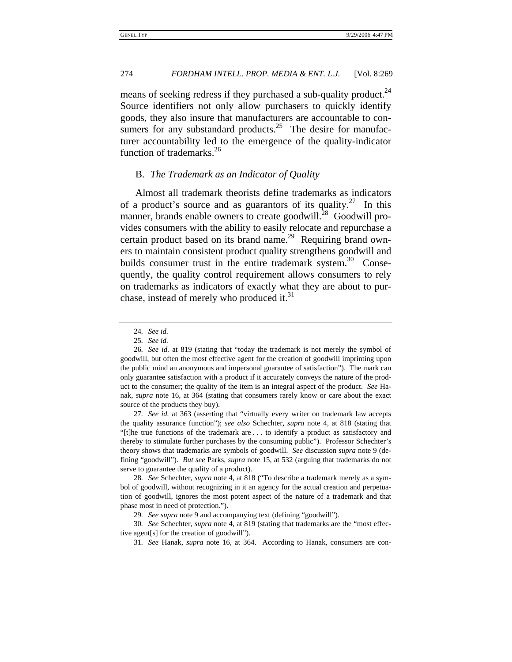means of seeking redress if they purchased a sub-quality product.<sup>24</sup> Source identifiers not only allow purchasers to quickly identify goods, they also insure that manufacturers are accountable to consumers for any substandard products.<sup>25</sup> The desire for manufacturer accountability led to the emergence of the quality-indicator function of trademarks.<sup>26</sup>

# B. *The Trademark as an Indicator of Quality*

Almost all trademark theorists define trademarks as indicators of a product's source and as guarantors of its quality.<sup>27</sup> In this manner, brands enable owners to create goodwill.<sup>28</sup> Goodwill provides consumers with the ability to easily relocate and repurchase a certain product based on its brand name.<sup>29</sup> Requiring brand owners to maintain consistent product quality strengthens goodwill and builds consumer trust in the entire trademark system. $30\degree$  Consequently, the quality control requirement allows consumers to rely on trademarks as indicators of exactly what they are about to purchase, instead of merely who produced it.<sup>31</sup>

27*. See id.* at 363 (asserting that "virtually every writer on trademark law accepts the quality assurance function"); *see also* Schechter, *supra* note 4, at 818 (stating that "[t]he true functions of the trademark are . . . to identify a product as satisfactory and thereby to stimulate further purchases by the consuming public"). Professor Schechter's theory shows that trademarks are symbols of goodwill. *See* discussion *supra* note 9 (defining "goodwill"). *But see* Parks, *supra* note 15, at 532 (arguing that trademarks do not serve to guarantee the quality of a product).

28*. See* Schechter, *supra* note 4, at 818 ("To describe a trademark merely as a symbol of goodwill, without recognizing in it an agency for the actual creation and perpetuation of goodwill, ignores the most potent aspect of the nature of a trademark and that phase most in need of protection.").

29*. See supra* note 9 and accompanying text (defining "goodwill").

30*. See* Schechter, *supra* note 4, at 819 (stating that trademarks are the "most effective agent[s] for the creation of goodwill").

31*. See* Hanak, *supra* note 16, at 364. According to Hanak, consumers are con-

<sup>24</sup>*. See id.*

<sup>25</sup>*. See id.*

<sup>26</sup>*. See id.* at 819 (stating that "today the trademark is not merely the symbol of goodwill, but often the most effective agent for the creation of goodwill imprinting upon the public mind an anonymous and impersonal guarantee of satisfaction"). The mark can only guarantee satisfaction with a product if it accurately conveys the nature of the product to the consumer; the quality of the item is an integral aspect of the product. *See* Hanak, *supra* note 16, at 364 (stating that consumers rarely know or care about the exact source of the products they buy).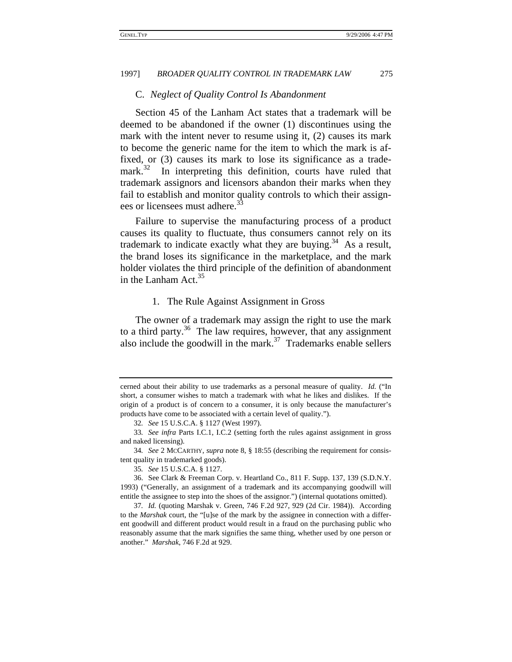# C. *Neglect of Quality Control Is Abandonment*

Section 45 of the Lanham Act states that a trademark will be deemed to be abandoned if the owner (1) discontinues using the mark with the intent never to resume using it, (2) causes its mark to become the generic name for the item to which the mark is affixed, or (3) causes its mark to lose its significance as a trademark. $32$  In interpreting this definition, courts have ruled that trademark assignors and licensors abandon their marks when they fail to establish and monitor quality controls to which their assignees or licensees must adhere.<sup>33</sup>

Failure to supervise the manufacturing process of a product causes its quality to fluctuate, thus consumers cannot rely on its trademark to indicate exactly what they are buying.<sup>34</sup> As a result, the brand loses its significance in the marketplace, and the mark holder violates the third principle of the definition of abandonment in the Lanham  $Act.^{35}$ 

### 1. The Rule Against Assignment in Gross

The owner of a trademark may assign the right to use the mark to a third party.<sup>36</sup> The law requires, however, that any assignment also include the goodwill in the mark.<sup>37</sup> Trademarks enable sellers

cerned about their ability to use trademarks as a personal measure of quality. *Id.* ("In short, a consumer wishes to match a trademark with what he likes and dislikes. If the origin of a product is of concern to a consumer, it is only because the manufacturer's products have come to be associated with a certain level of quality.").

<sup>32</sup>*. See* 15 U.S.C.A. § 1127 (West 1997).

<sup>33</sup>*. See infra* Parts I.C.1, I.C.2 (setting forth the rules against assignment in gross and naked licensing).

<sup>34</sup>*. See* 2 MCCARTHY, *supra* note 8, § 18:55 (describing the requirement for consistent quality in trademarked goods).

<sup>35</sup>*. See* 15 U.S.C.A. § 1127.

<sup>36.</sup> See Clark & Freeman Corp. v. Heartland Co., 811 F. Supp. 137, 139 (S.D.N.Y. 1993) ("Generally, an assignment of a trademark and its accompanying goodwill will entitle the assignee to step into the shoes of the assignor.") (internal quotations omitted).

<sup>37</sup>*. Id.* (quoting Marshak v. Green, 746 F.2d 927, 929 (2d Cir. 1984)). According to the *Marshak* court, the "[u]se of the mark by the assignee in connection with a different goodwill and different product would result in a fraud on the purchasing public who reasonably assume that the mark signifies the same thing, whether used by one person or another." *Marshak*, 746 F.2d at 929.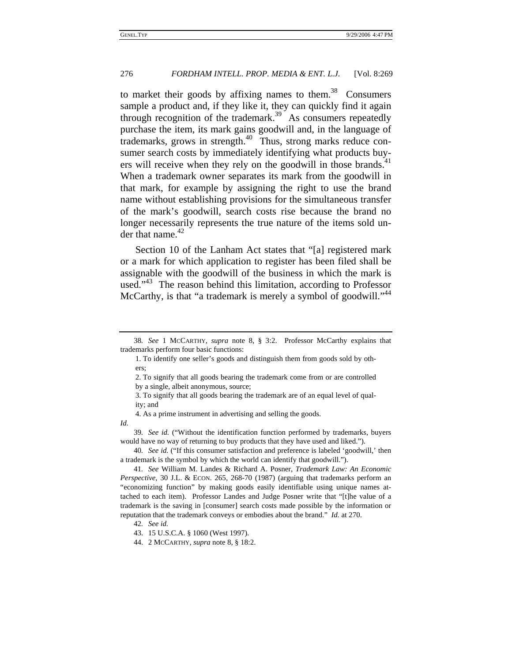to market their goods by affixing names to them.<sup>38</sup> Consumers sample a product and, if they like it, they can quickly find it again through recognition of the trademark.<sup>39</sup> As consumers repeatedly purchase the item, its mark gains goodwill and, in the language of trademarks, grows in strength. $40$  Thus, strong marks reduce consumer search costs by immediately identifying what products buyers will receive when they rely on the goodwill in those brands.<sup>41</sup> When a trademark owner separates its mark from the goodwill in that mark, for example by assigning the right to use the brand name without establishing provisions for the simultaneous transfer of the mark's goodwill, search costs rise because the brand no longer necessarily represents the true nature of the items sold under that name. $42$ 

Section 10 of the Lanham Act states that "[a] registered mark or a mark for which application to register has been filed shall be assignable with the goodwill of the business in which the mark is used."<sup>43</sup> The reason behind this limitation, according to Professor McCarthy, is that "a trademark is merely a symbol of goodwill."<sup>44</sup>

4. As a prime instrument in advertising and selling the goods.

*Id.*

<sup>38</sup>*. See* 1 MCCARTHY, *supra* note 8, § 3:2. Professor McCarthy explains that trademarks perform four basic functions:

<sup>1.</sup> To identify one seller's goods and distinguish them from goods sold by others;

<sup>2.</sup> To signify that all goods bearing the trademark come from or are controlled by a single, albeit anonymous, source;

<sup>3.</sup> To signify that all goods bearing the trademark are of an equal level of quality; and

<sup>39</sup>*. See id.* ("Without the identification function performed by trademarks, buyers would have no way of returning to buy products that they have used and liked.").

<sup>40</sup>*. See id.* ("If this consumer satisfaction and preference is labeled 'goodwill,' then a trademark is the symbol by which the world can identify that goodwill.").

<sup>41</sup>*. See* William M. Landes & Richard A. Posner, *Trademark Law: An Economic Perspective*, 30 J.L. & ECON. 265, 268-70 (1987) (arguing that trademarks perform an "economizing function" by making goods easily identifiable using unique names attached to each item). Professor Landes and Judge Posner write that "[t]he value of a trademark is the saving in [consumer] search costs made possible by the information or reputation that the trademark conveys or embodies about the brand." *Id.* at 270.

<sup>42</sup>*. See id.*

<sup>43. 15</sup> U.S.C.A. § 1060 (West 1997).

<sup>44. 2</sup> MCCARTHY, *supra* note 8, § 18:2.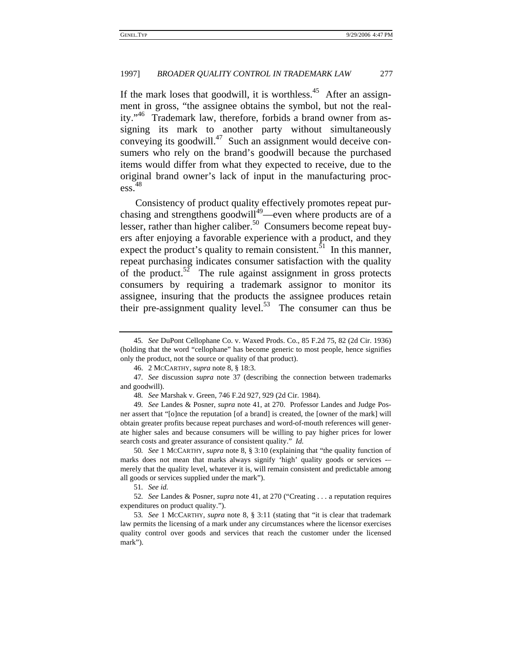If the mark loses that goodwill, it is worthless.<sup>45</sup> After an assignment in gross, "the assignee obtains the symbol, but not the reality."46 Trademark law, therefore, forbids a brand owner from assigning its mark to another party without simultaneously conveying its goodwill. $47$  Such an assignment would deceive consumers who rely on the brand's goodwill because the purchased items would differ from what they expected to receive, due to the original brand owner's lack of input in the manufacturing process.<sup>48</sup>

Consistency of product quality effectively promotes repeat purchasing and strengthens goodwill<sup>49</sup>—even where products are of a lesser, rather than higher caliber.<sup>50</sup> Consumers become repeat buyers after enjoying a favorable experience with a product, and they expect the product's quality to remain consistent.<sup>51</sup> In this manner, repeat purchasing indicates consumer satisfaction with the quality of the product.<sup>52</sup> The rule against assignment in gross protects consumers by requiring a trademark assignor to monitor its assignee, insuring that the products the assignee produces retain their pre-assignment quality level.<sup>53</sup> The consumer can thus be

50*. See* 1 MCCARTHY, *supra* note 8, § 3:10 (explaining that "the quality function of marks does not mean that marks always signify 'high' quality goods or services -– merely that the quality level, whatever it is, will remain consistent and predictable among all goods or services supplied under the mark").

51*. See id.*

52*. See* Landes & Posner, *supra* note 41, at 270 ("Creating . . . a reputation requires expenditures on product quality.").

53*. See* 1 MCCARTHY, *supra* note 8, § 3:11 (stating that "it is clear that trademark law permits the licensing of a mark under any circumstances where the licensor exercises quality control over goods and services that reach the customer under the licensed mark").

<sup>45</sup>*. See* DuPont Cellophane Co. v. Waxed Prods. Co., 85 F.2d 75, 82 (2d Cir. 1936) (holding that the word "cellophane" has become generic to most people, hence signifies only the product, not the source or quality of that product).

<sup>46. 2</sup> MCCARTHY, *supra* note 8, § 18:3.

<sup>47</sup>*. See* discussion *supra* note 37 (describing the connection between trademarks and goodwill).

<sup>48</sup>*. See* Marshak v. Green, 746 F.2d 927, 929 (2d Cir. 1984).

<sup>49</sup>*. See* Landes & Posner, *supra* note 41, at 270. Professor Landes and Judge Posner assert that "[o]nce the reputation [of a brand] is created, the [owner of the mark] will obtain greater profits because repeat purchases and word-of-mouth references will generate higher sales and because consumers will be willing to pay higher prices for lower search costs and greater assurance of consistent quality." *Id.*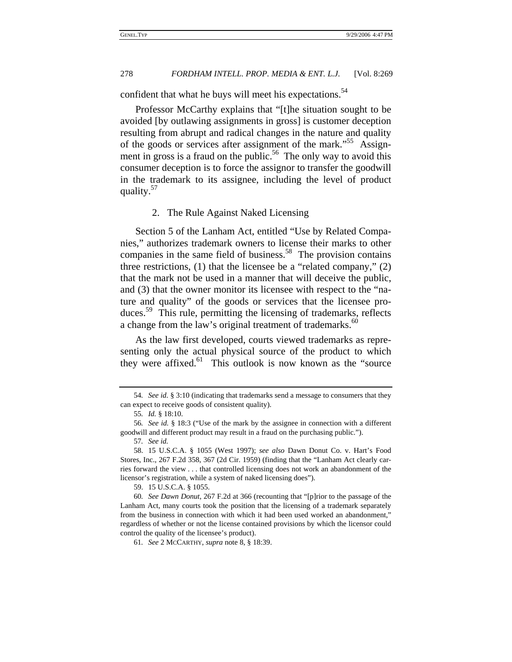confident that what he buys will meet his expectations.<sup>54</sup>

Professor McCarthy explains that "[t]he situation sought to be avoided [by outlawing assignments in gross] is customer deception resulting from abrupt and radical changes in the nature and quality of the goods or services after assignment of the mark.<sup>55</sup> Assignment in gross is a fraud on the public.<sup>56</sup> The only way to avoid this consumer deception is to force the assignor to transfer the goodwill in the trademark to its assignee, including the level of product quality. $57$ 

# 2. The Rule Against Naked Licensing

Section 5 of the Lanham Act, entitled "Use by Related Companies," authorizes trademark owners to license their marks to other companies in the same field of business.<sup>58</sup> The provision contains three restrictions, (1) that the licensee be a "related company," (2) that the mark not be used in a manner that will deceive the public, and (3) that the owner monitor its licensee with respect to the "nature and quality" of the goods or services that the licensee produces.<sup>59</sup> This rule, permitting the licensing of trademarks, reflects a change from the law's original treatment of trademarks.<sup>60</sup>

As the law first developed, courts viewed trademarks as representing only the actual physical source of the product to which they were affixed.<sup>61</sup> This outlook is now known as the "source"

<sup>54</sup>*. See id.* § 3:10 (indicating that trademarks send a message to consumers that they can expect to receive goods of consistent quality).

<sup>55</sup>*. Id.* § 18:10.

<sup>56</sup>*. See id.* § 18:3 ("Use of the mark by the assignee in connection with a different goodwill and different product may result in a fraud on the purchasing public.").

<sup>57</sup>*. See id.*

<sup>58. 15</sup> U.S.C.A. § 1055 (West 1997); *see also* Dawn Donut Co. v. Hart's Food Stores, Inc., 267 F.2d 358, 367 (2d Cir. 1959) (finding that the "Lanham Act clearly carries forward the view . . . that controlled licensing does not work an abandonment of the licensor's registration, while a system of naked licensing does").

<sup>59. 15</sup> U.S.C.A. § 1055.

<sup>60</sup>*. See Dawn Donut*, 267 F.2d at 366 (recounting that "[p]rior to the passage of the Lanham Act, many courts took the position that the licensing of a trademark separately from the business in connection with which it had been used worked an abandonment," regardless of whether or not the license contained provisions by which the licensor could control the quality of the licensee's product).

<sup>61</sup>*. See* 2 MCCARTHY, *supra* note 8, § 18:39.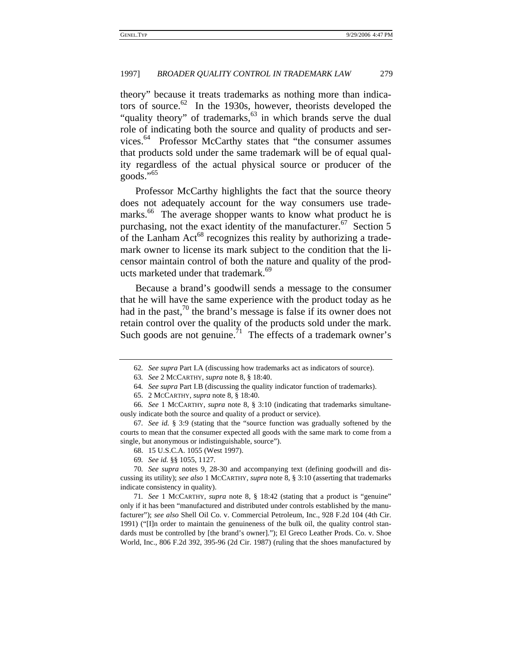theory" because it treats trademarks as nothing more than indicators of source. $62$  In the 1930s, however, theorists developed the "quality theory" of trademarks, $63$  in which brands serve the dual role of indicating both the source and quality of products and services.<sup>64</sup> Professor McCarthy states that "the consumer assumes" that products sold under the same trademark will be of equal quality regardless of the actual physical source or producer of the goods." $65$ 

Professor McCarthy highlights the fact that the source theory does not adequately account for the way consumers use trademarks.<sup>66</sup> The average shopper wants to know what product he is purchasing, not the exact identity of the manufacturer.<sup>67</sup> Section 5 of the Lanham  $Act^{68}$  recognizes this reality by authorizing a trademark owner to license its mark subject to the condition that the licensor maintain control of both the nature and quality of the products marketed under that trademark.<sup>69</sup>

Because a brand's goodwill sends a message to the consumer that he will have the same experience with the product today as he had in the past,<sup>70</sup> the brand's message is false if its owner does not retain control over the quality of the products sold under the mark. Such goods are not genuine.<sup> $71$ </sup> The effects of a trademark owner's

<sup>62</sup>*. See supra* Part I.A (discussing how trademarks act as indicators of source).

<sup>63</sup>*. See* 2 MCCARTHY, *supra* note 8, § 18:40.

<sup>64</sup>*. See supra* Part I.B (discussing the quality indicator function of trademarks).

<sup>65. 2</sup> MCCARTHY, *supra* note 8, § 18:40.

<sup>66</sup>*. See* 1 MCCARTHY, *supra* note 8, § 3:10 (indicating that trademarks simultaneously indicate both the source and quality of a product or service).

<sup>67</sup>*. See id.* § 3:9 (stating that the "source function was gradually softened by the courts to mean that the consumer expected all goods with the same mark to come from a single, but anonymous or indistinguishable, source").

<sup>68. 15</sup> U.S.C.A. 1055 (West 1997).

<sup>69</sup>*. See id.* §§ 1055, 1127.

<sup>70</sup>*. See supra* notes 9, 28-30 and accompanying text (defining goodwill and discussing its utility); *see also* 1 MCCARTHY, *supra* note 8, § 3:10 (asserting that trademarks indicate consistency in quality).

<sup>71</sup>*. See* 1 MCCARTHY, *supra* note 8, § 18:42 (stating that a product is "genuine" only if it has been "manufactured and distributed under controls established by the manufacturer"); *see also* Shell Oil Co. v. Commercial Petroleum, Inc., 928 F.2d 104 (4th Cir. 1991) ("[I]n order to maintain the genuineness of the bulk oil, the quality control standards must be controlled by [the brand's owner]."); El Greco Leather Prods. Co. v. Shoe World, Inc., 806 F.2d 392, 395-96 (2d Cir. 1987) (ruling that the shoes manufactured by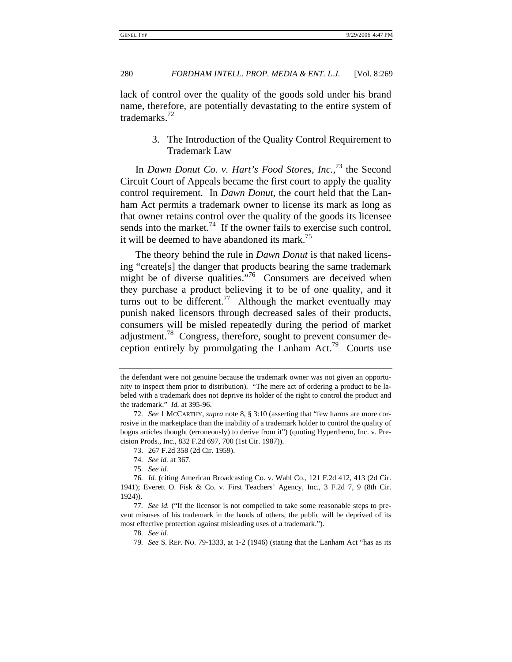lack of control over the quality of the goods sold under his brand name, therefore, are potentially devastating to the entire system of trademarks.72

> 3. The Introduction of the Quality Control Requirement to Trademark Law

In *Dawn Donut Co. v. Hart's Food Stores, Inc.*, 73 the Second Circuit Court of Appeals became the first court to apply the quality control requirement. In *Dawn Donut*, the court held that the Lanham Act permits a trademark owner to license its mark as long as that owner retains control over the quality of the goods its licensee sends into the market.<sup>74</sup> If the owner fails to exercise such control, it will be deemed to have abandoned its mark.<sup>75</sup>

The theory behind the rule in *Dawn Donut* is that naked licensing "create[s] the danger that products bearing the same trademark might be of diverse qualities."<sup>76</sup> Consumers are deceived when they purchase a product believing it to be of one quality, and it turns out to be different.<sup>77</sup> Although the market eventually may punish naked licensors through decreased sales of their products, consumers will be misled repeatedly during the period of market adjustment.<sup>78</sup> Congress, therefore, sought to prevent consumer deception entirely by promulgating the Lanham Act.<sup>79</sup> Courts use

the defendant were not genuine because the trademark owner was not given an opportunity to inspect them prior to distribution). "The mere act of ordering a product to be labeled with a trademark does not deprive its holder of the right to control the product and the trademark." *Id.* at 395-96.

<sup>72</sup>*. See* 1 MCCARTHY, *supra* note 8, § 3:10 (asserting that "few harms are more corrosive in the marketplace than the inability of a trademark holder to control the quality of bogus articles thought (erroneously) to derive from it") (quoting Hypertherm, Inc. v. Precision Prods., Inc., 832 F.2d 697, 700 (1st Cir. 1987)).

<sup>73. 267</sup> F.2d 358 (2d Cir. 1959).

<sup>74</sup>*. See id.* at 367.

<sup>75</sup>*. See id.*

<sup>76</sup>*. Id.* (citing American Broadcasting Co. v. Wahl Co., 121 F.2d 412, 413 (2d Cir. 1941); Everett O. Fisk & Co. v. First Teachers' Agency, Inc., 3 F.2d 7, 9 (8th Cir. 1924)).

<sup>77</sup>*. See id.* ("If the licensor is not compelled to take some reasonable steps to prevent misuses of his trademark in the hands of others, the public will be deprived of its most effective protection against misleading uses of a trademark.").

<sup>78</sup>*. See id.*

<sup>79</sup>*. See* S. REP. NO. 79-1333, at 1-2 (1946) (stating that the Lanham Act "has as its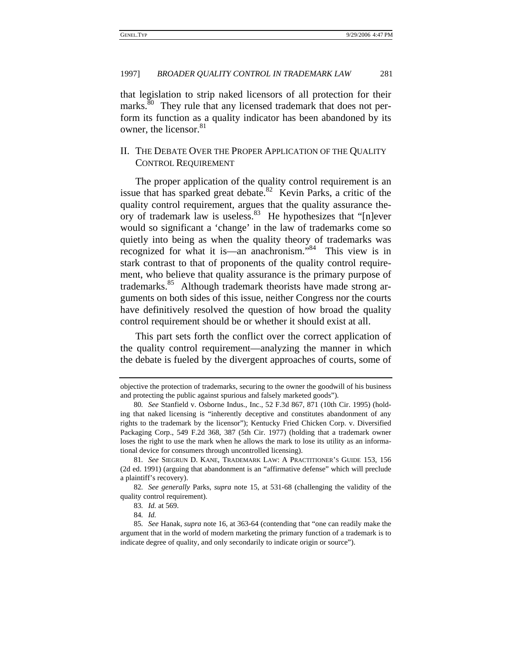that legislation to strip naked licensors of all protection for their marks.<sup>80</sup> They rule that any licensed trademark that does not perform its function as a quality indicator has been abandoned by its owner, the licensor.<sup>81</sup>

# II. THE DEBATE OVER THE PROPER APPLICATION OF THE QUALITY CONTROL REQUIREMENT

The proper application of the quality control requirement is an issue that has sparked great debate.<sup>82</sup> Kevin Parks, a critic of the quality control requirement, argues that the quality assurance theory of trademark law is useless.<sup>83</sup> He hypothesizes that "[n]ever would so significant a 'change' in the law of trademarks come so quietly into being as when the quality theory of trademarks was recognized for what it is—an anachronism."84 This view is in stark contrast to that of proponents of the quality control requirement, who believe that quality assurance is the primary purpose of trademarks.<sup>85</sup> Although trademark theorists have made strong arguments on both sides of this issue, neither Congress nor the courts have definitively resolved the question of how broad the quality control requirement should be or whether it should exist at all.

This part sets forth the conflict over the correct application of the quality control requirement—analyzing the manner in which the debate is fueled by the divergent approaches of courts, some of

objective the protection of trademarks, securing to the owner the goodwill of his business and protecting the public against spurious and falsely marketed goods").

<sup>80</sup>*. See* Stanfield v. Osborne Indus., Inc., 52 F.3d 867, 871 (10th Cir. 1995) (holding that naked licensing is "inherently deceptive and constitutes abandonment of any rights to the trademark by the licensor"); Kentucky Fried Chicken Corp. v. Diversified Packaging Corp., 549 F.2d 368, 387 (5th Cir. 1977) (holding that a trademark owner loses the right to use the mark when he allows the mark to lose its utility as an informational device for consumers through uncontrolled licensing).

<sup>81</sup>*. See* SIEGRUN D. KANE, TRADEMARK LAW: A PRACTITIONER'S GUIDE 153, 156 (2d ed. 1991) (arguing that abandonment is an "affirmative defense" which will preclude a plaintiff's recovery).

<sup>82</sup>*. See generally* Parks, *supra* note 15, at 531-68 (challenging the validity of the quality control requirement).

<sup>83</sup>*. Id.* at 569.

<sup>84</sup>*. Id.*

<sup>85</sup>*. See* Hanak, *supra* note 16, at 363-64 (contending that "one can readily make the argument that in the world of modern marketing the primary function of a trademark is to indicate degree of quality, and only secondarily to indicate origin or source").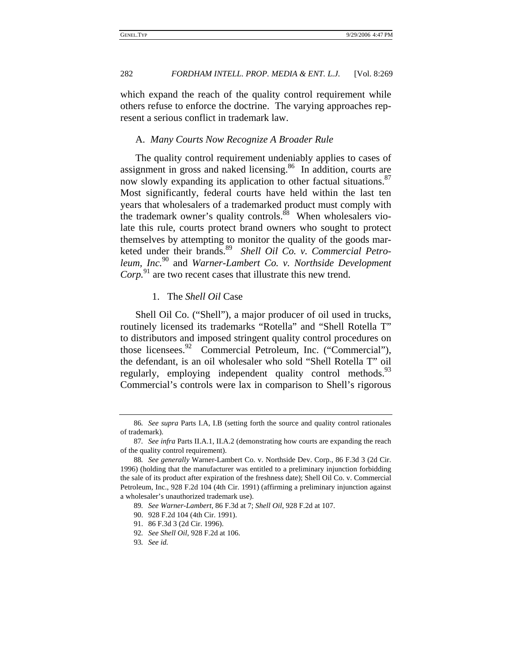which expand the reach of the quality control requirement while others refuse to enforce the doctrine. The varying approaches represent a serious conflict in trademark law.

# A. *Many Courts Now Recognize A Broader Rule*

The quality control requirement undeniably applies to cases of assignment in gross and naked licensing.86 In addition, courts are now slowly expanding its application to other factual situations.<sup>87</sup> Most significantly, federal courts have held within the last ten years that wholesalers of a trademarked product must comply with the trademark owner's quality controls.<sup>88</sup> When wholesalers violate this rule, courts protect brand owners who sought to protect themselves by attempting to monitor the quality of the goods marketed under their brands.89 *Shell Oil Co. v. Commercial Petroleum, Inc.*90 and *Warner-Lambert Co. v. Northside Development Corp.*<sup>91</sup> are two recent cases that illustrate this new trend.

# 1. The *Shell Oil* Case

Shell Oil Co. ("Shell"), a major producer of oil used in trucks, routinely licensed its trademarks "Rotella" and "Shell Rotella T" to distributors and imposed stringent quality control procedures on those licensees.<sup>92</sup> Commercial Petroleum, Inc. ("Commercial"), the defendant, is an oil wholesaler who sold "Shell Rotella T" oil regularly, employing independent quality control methods.<sup>93</sup> Commercial's controls were lax in comparison to Shell's rigorous

<sup>86</sup>*. See supra* Parts I.A, I.B (setting forth the source and quality control rationales of trademark).

<sup>87</sup>*. See infra* Parts II.A.1, II.A.2 (demonstrating how courts are expanding the reach of the quality control requirement).

<sup>88</sup>*. See generally* Warner-Lambert Co. v. Northside Dev. Corp., 86 F.3d 3 (2d Cir. 1996) (holding that the manufacturer was entitled to a preliminary injunction forbidding the sale of its product after expiration of the freshness date); Shell Oil Co. v. Commercial Petroleum, Inc., 928 F.2d 104 (4th Cir. 1991) (affirming a preliminary injunction against a wholesaler's unauthorized trademark use).

<sup>89</sup>*. See Warner-Lambert*, 86 F.3d at 7; *Shell Oil*, 928 F.2d at 107.

<sup>90. 928</sup> F.2d 104 (4th Cir. 1991).

<sup>91. 86</sup> F.3d 3 (2d Cir. 1996).

<sup>92</sup>*. See Shell Oil*, 928 F.2d at 106.

<sup>93</sup>*. See id.*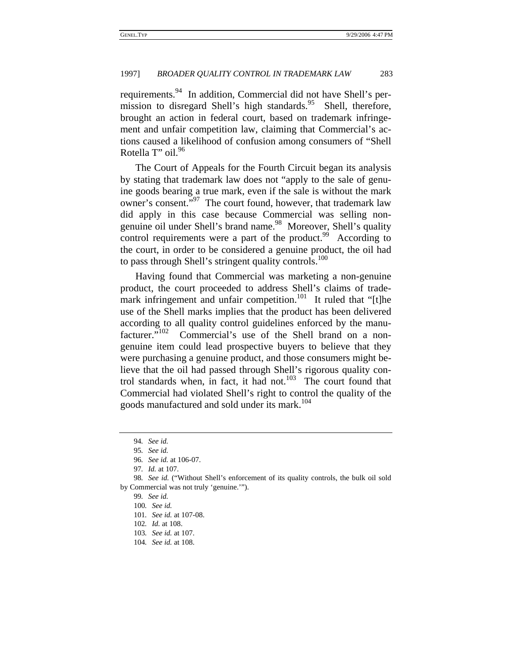requirements.<sup>94</sup> In addition, Commercial did not have Shell's permission to disregard Shell's high standards.<sup>95</sup> Shell, therefore, brought an action in federal court, based on trademark infringement and unfair competition law, claiming that Commercial's actions caused a likelihood of confusion among consumers of "Shell Rotella T" oil.<sup>96</sup>

The Court of Appeals for the Fourth Circuit began its analysis by stating that trademark law does not "apply to the sale of genuine goods bearing a true mark, even if the sale is without the mark owner's consent."<sup>97</sup> The court found, however, that trademark law did apply in this case because Commercial was selling nongenuine oil under Shell's brand name.<sup>98</sup> Moreover, Shell's quality control requirements were a part of the product. $99$  According to the court, in order to be considered a genuine product, the oil had to pass through Shell's stringent quality controls.<sup>100</sup>

Having found that Commercial was marketing a non-genuine product, the court proceeded to address Shell's claims of trademark infringement and unfair competition.<sup>101</sup> It ruled that "[t]he use of the Shell marks implies that the product has been delivered according to all quality control guidelines enforced by the manufacturer."<sup>102</sup> Commercial's use of the Shell brand on a nongenuine item could lead prospective buyers to believe that they were purchasing a genuine product, and those consumers might believe that the oil had passed through Shell's rigorous quality control standards when, in fact, it had not. $103$  The court found that Commercial had violated Shell's right to control the quality of the goods manufactured and sold under its mark.<sup>104</sup>

- 102*. Id.* at 108.
- 103*. See id.* at 107.
- 104*. See id.* at 108.

<sup>94</sup>*. See id.*

<sup>95</sup>*. See id.*

<sup>96</sup>*. See id.* at 106-07.

<sup>97</sup>*. Id.* at 107.

<sup>98</sup>*. See id.* ("Without Shell's enforcement of its quality controls, the bulk oil sold by Commercial was not truly 'genuine.'").

<sup>99</sup>*. See id.*

<sup>100</sup>*. See id.*

<sup>101</sup>*. See id.* at 107-08.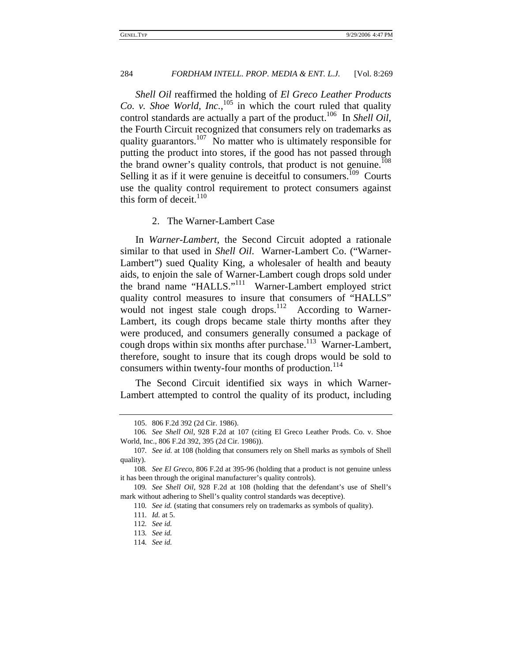*Shell Oil* reaffirmed the holding of *El Greco Leather Products Co. v. Shoe World, Inc.*, 105 in which the court ruled that quality control standards are actually a part of the product.<sup>106</sup> In *Shell Oil*, the Fourth Circuit recognized that consumers rely on trademarks as quality guarantors.<sup>107</sup> No matter who is ultimately responsible for putting the product into stores, if the good has not passed through the brand owner's quality controls, that product is not genuine.<sup> $108$ </sup> Selling it as if it were genuine is deceitful to consumers.<sup>109</sup> Courts use the quality control requirement to protect consumers against this form of deceit. $110$ 

# 2. The Warner-Lambert Case

In *Warner-Lambert*, the Second Circuit adopted a rationale similar to that used in *Shell Oil*. Warner-Lambert Co. ("Warner-Lambert") sued Quality King, a wholesaler of health and beauty aids, to enjoin the sale of Warner-Lambert cough drops sold under the brand name "HALLS."<sup>111</sup> Warner-Lambert employed strict quality control measures to insure that consumers of "HALLS" would not ingest stale cough drops.<sup>112</sup> According to Warner-Lambert, its cough drops became stale thirty months after they were produced, and consumers generally consumed a package of cough drops within six months after purchase.<sup>113</sup> Warner-Lambert, therefore, sought to insure that its cough drops would be sold to consumers within twenty-four months of production.<sup>114</sup>

The Second Circuit identified six ways in which Warner-Lambert attempted to control the quality of its product, including

<sup>105. 806</sup> F.2d 392 (2d Cir. 1986).

<sup>106</sup>*. See Shell Oil*, 928 F.2d at 107 (citing El Greco Leather Prods. Co. v. Shoe World, Inc., 806 F.2d 392, 395 (2d Cir. 1986)).

<sup>107</sup>*. See id.* at 108 (holding that consumers rely on Shell marks as symbols of Shell quality).

<sup>108</sup>*. See El Greco*, 806 F.2d at 395-96 (holding that a product is not genuine unless it has been through the original manufacturer's quality controls).

<sup>109</sup>*. See Shell Oil*, 928 F.2d at 108 (holding that the defendant's use of Shell's mark without adhering to Shell's quality control standards was deceptive).

<sup>110</sup>*. See id.* (stating that consumers rely on trademarks as symbols of quality).

<sup>111</sup>*. Id.* at 5.

<sup>112</sup>*. See id.*

<sup>113</sup>*. See id.*

<sup>114</sup>*. See id.*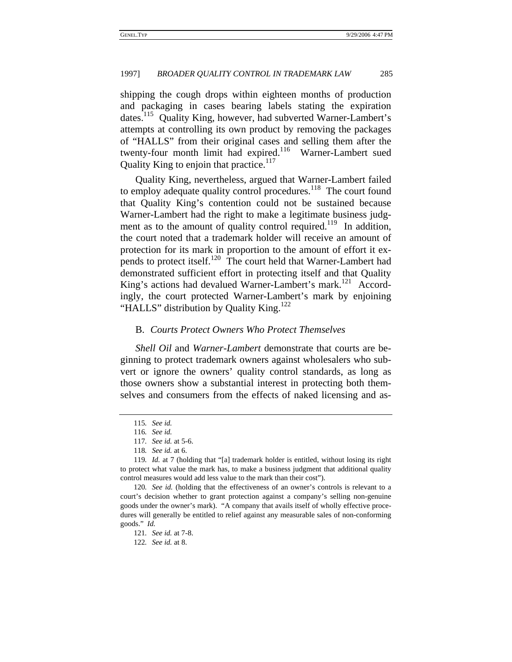shipping the cough drops within eighteen months of production and packaging in cases bearing labels stating the expiration dates.<sup>115</sup> Quality King, however, had subverted Warner-Lambert's attempts at controlling its own product by removing the packages of "HALLS" from their original cases and selling them after the twenty-four month limit had expired.<sup>116</sup> Warner-Lambert sued Quality King to enjoin that practice.<sup>117</sup>

Quality King, nevertheless, argued that Warner-Lambert failed to employ adequate quality control procedures.<sup>118</sup> The court found that Quality King's contention could not be sustained because Warner-Lambert had the right to make a legitimate business judgment as to the amount of quality control required.<sup>119</sup> In addition, the court noted that a trademark holder will receive an amount of protection for its mark in proportion to the amount of effort it expends to protect itself.<sup>120</sup> The court held that Warner-Lambert had demonstrated sufficient effort in protecting itself and that Quality King's actions had devalued Warner-Lambert's mark.<sup>121</sup> Accordingly, the court protected Warner-Lambert's mark by enjoining "HALLS" distribution by Quality King.<sup>122</sup>

### B. *Courts Protect Owners Who Protect Themselves*

*Shell Oil* and *Warner-Lambert* demonstrate that courts are beginning to protect trademark owners against wholesalers who subvert or ignore the owners' quality control standards, as long as those owners show a substantial interest in protecting both themselves and consumers from the effects of naked licensing and as-

120*. See id.* (holding that the effectiveness of an owner's controls is relevant to a court's decision whether to grant protection against a company's selling non-genuine goods under the owner's mark). "A company that avails itself of wholly effective procedures will generally be entitled to relief against any measurable sales of non-conforming goods." *Id.*

122*. See id.* at 8.

<sup>115</sup>*. See id.*

<sup>116</sup>*. See id.*

<sup>117</sup>*. See id.* at 5-6.

<sup>118</sup>*. See id.* at 6.

<sup>119</sup>*. Id.* at 7 (holding that "[a] trademark holder is entitled, without losing its right to protect what value the mark has, to make a business judgment that additional quality control measures would add less value to the mark than their cost").

<sup>121</sup>*. See id.* at 7-8.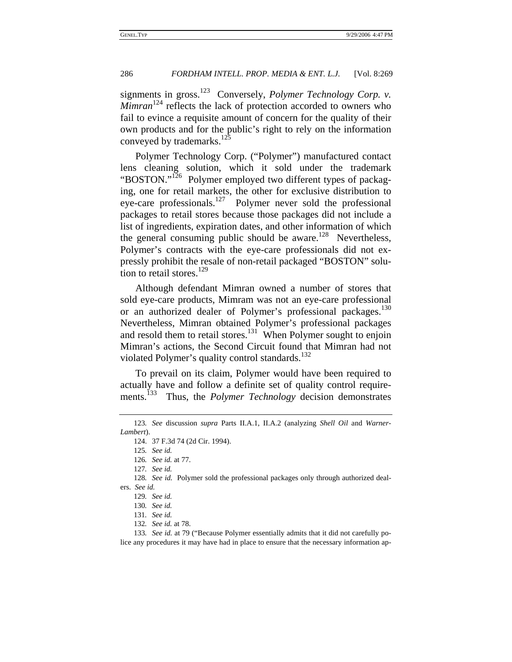signments in gross.<sup>123</sup> Conversely, *Polymer Technology Corp. v. Mimran*<sup>124</sup> reflects the lack of protection accorded to owners who fail to evince a requisite amount of concern for the quality of their own products and for the public's right to rely on the information conveyed by trademarks.<sup>125</sup>

Polymer Technology Corp. ("Polymer") manufactured contact lens cleaning solution, which it sold under the trademark "BOSTON."<sup>126</sup> Polymer employed two different types of packaging, one for retail markets, the other for exclusive distribution to eye-care professionals.<sup>127</sup> Polymer never sold the professional packages to retail stores because those packages did not include a list of ingredients, expiration dates, and other information of which the general consuming public should be aware.<sup>128</sup> Nevertheless, Polymer's contracts with the eye-care professionals did not expressly prohibit the resale of non-retail packaged "BOSTON" solution to retail stores. $^{129}$ 

Although defendant Mimran owned a number of stores that sold eye-care products, Mimram was not an eye-care professional or an authorized dealer of Polymer's professional packages.<sup>130</sup> Nevertheless, Mimran obtained Polymer's professional packages and resold them to retail stores.<sup>131</sup> When Polymer sought to enjoin Mimran's actions, the Second Circuit found that Mimran had not violated Polymer's quality control standards.<sup>132</sup>

To prevail on its claim, Polymer would have been required to actually have and follow a definite set of quality control requirements.<sup>133</sup> Thus, the *Polymer Technology* decision demonstrates

<sup>123</sup>*. See* discussion *supra* Parts II.A.1, II.A.2 (analyzing *Shell Oil* and *Warner-Lambert*).

<sup>124. 37</sup> F.3d 74 (2d Cir. 1994).

<sup>125</sup>*. See id.*

<sup>126</sup>*. See id.* at 77.

<sup>127</sup>*. See id.*

<sup>128</sup>*. See id.* Polymer sold the professional packages only through authorized dealers. *See id.*

<sup>129</sup>*. See id.*

<sup>130</sup>*. See id.*

<sup>131</sup>*. See id.*

<sup>132</sup>*. See id.* at 78.

<sup>133</sup>*. See id.* at 79 ("Because Polymer essentially admits that it did not carefully police any procedures it may have had in place to ensure that the necessary information ap-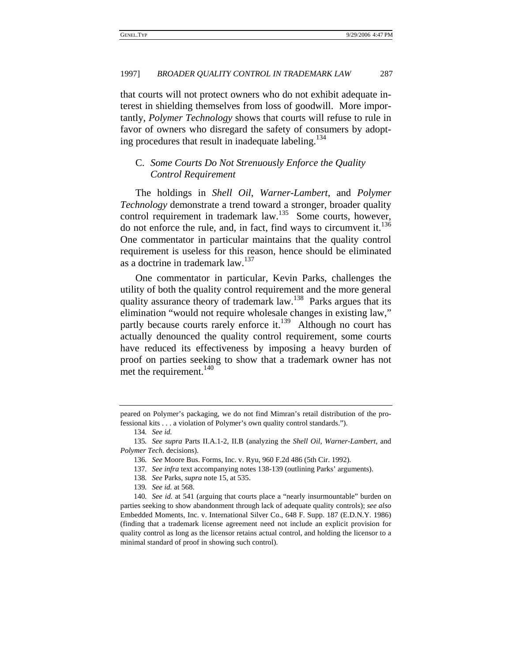that courts will not protect owners who do not exhibit adequate interest in shielding themselves from loss of goodwill. More importantly, *Polymer Technology* shows that courts will refuse to rule in favor of owners who disregard the safety of consumers by adopting procedures that result in inadequate labeling.<sup>134</sup>

# C. *Some Courts Do Not Strenuously Enforce the Quality Control Requirement*

The holdings in *Shell Oil*, *Warner-Lambert*, and *Polymer Technology* demonstrate a trend toward a stronger, broader quality control requirement in trademark law.<sup>135</sup> Some courts, however, do not enforce the rule, and, in fact, find ways to circumvent it. $136$ One commentator in particular maintains that the quality control requirement is useless for this reason, hence should be eliminated as a doctrine in trademark law.<sup>137</sup>

One commentator in particular, Kevin Parks, challenges the utility of both the quality control requirement and the more general quality assurance theory of trademark law.<sup>138</sup> Parks argues that its elimination "would not require wholesale changes in existing law," partly because courts rarely enforce it.<sup>139</sup> Although no court has actually denounced the quality control requirement, some courts have reduced its effectiveness by imposing a heavy burden of proof on parties seeking to show that a trademark owner has not met the requirement.<sup>140</sup>

peared on Polymer's packaging, we do not find Mimran's retail distribution of the professional kits . . . a violation of Polymer's own quality control standards.").

<sup>134</sup>*. See id.*

<sup>135</sup>*. See supra* Parts II.A.1-2, II.B (analyzing the *Shell Oil*, *Warner-Lambert*, and *Polymer Tech.* decisions).

<sup>136</sup>*. See* Moore Bus. Forms, Inc. v. Ryu, 960 F.2d 486 (5th Cir. 1992).

<sup>137</sup>*. See infra* text accompanying notes 138-139 (outlining Parks' arguments).

<sup>138</sup>*. See* Parks, *supra* note 15, at 535.

<sup>139</sup>*. See id.* at 568.

<sup>140</sup>*. See id.* at 541 (arguing that courts place a "nearly insurmountable" burden on parties seeking to show abandonment through lack of adequate quality controls); *see also* Embedded Moments, Inc. v. International Silver Co., 648 F. Supp. 187 (E.D.N.Y. 1986) (finding that a trademark license agreement need not include an explicit provision for quality control as long as the licensor retains actual control, and holding the licensor to a minimal standard of proof in showing such control).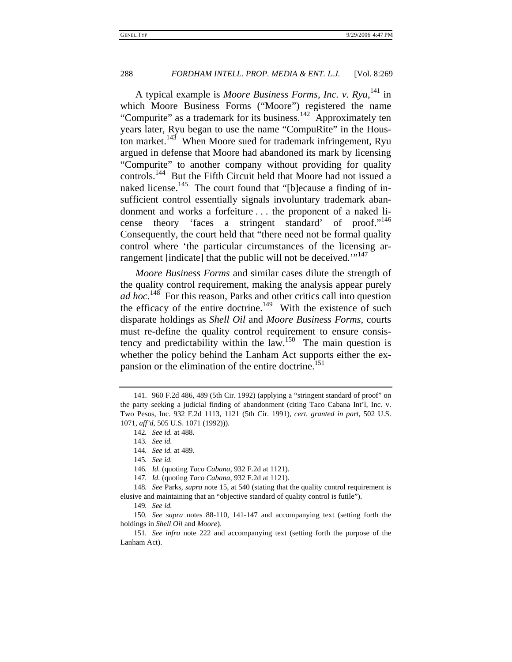A typical example is *Moore Business Forms, Inc. v. Ryu*,<sup>141</sup> in which Moore Business Forms ("Moore") registered the name "Compurite" as a trademark for its business.<sup>142</sup> Approximately ten years later, Ryu began to use the name "CompuRite" in the Houston market.<sup>143</sup> When Moore sued for trademark infringement, Ryu argued in defense that Moore had abandoned its mark by licensing "Compurite" to another company without providing for quality controls.144 But the Fifth Circuit held that Moore had not issued a naked license.<sup>145</sup> The court found that "[b]ecause a finding of insufficient control essentially signals involuntary trademark abandonment and works a forfeiture . . . the proponent of a naked license theory 'faces a stringent standard' of proof."<sup>146</sup> Consequently, the court held that "there need not be formal quality control where 'the particular circumstances of the licensing arrangement [indicate] that the public will not be deceived."<sup>147</sup>

*Moore Business Forms* and similar cases dilute the strength of the quality control requirement, making the analysis appear purely *ad hoc*. 148 For this reason, Parks and other critics call into question the efficacy of the entire doctrine.<sup>149</sup> With the existence of such disparate holdings as *Shell Oil* and *Moore Business Forms*, courts must re-define the quality control requirement to ensure consistency and predictability within the law.150 The main question is whether the policy behind the Lanham Act supports either the expansion or the elimination of the entire doctrine.<sup>151</sup>

<sup>141. 960</sup> F.2d 486, 489 (5th Cir. 1992) (applying a "stringent standard of proof" on the party seeking a judicial finding of abandonment (citing Taco Cabana Int'l, Inc. v. Two Pesos, Inc. 932 F.2d 1113, 1121 (5th Cir. 1991), *cert. granted in part*, 502 U.S. 1071, *aff'd*, 505 U.S. 1071 (1992))).

<sup>142</sup>*. See id.* at 488.

<sup>143</sup>*. See id.*

<sup>144</sup>*. See id.* at 489.

<sup>145</sup>*. See id.*

<sup>146</sup>*. Id.* (quoting *Taco Cabana*, 932 F.2d at 1121).

<sup>147</sup>*. Id.* (quoting *Taco Cabana*, 932 F.2d at 1121).

<sup>148</sup>*. See* Parks, *supra* note 15, at 540 (stating that the quality control requirement is elusive and maintaining that an "objective standard of quality control is futile").

<sup>149</sup>*. See id.*

<sup>150</sup>*. See supra* notes 88-110, 141-147 and accompanying text (setting forth the holdings in *Shell Oil* and *Moore*).

<sup>151</sup>*. See infra* note 222 and accompanying text (setting forth the purpose of the Lanham Act).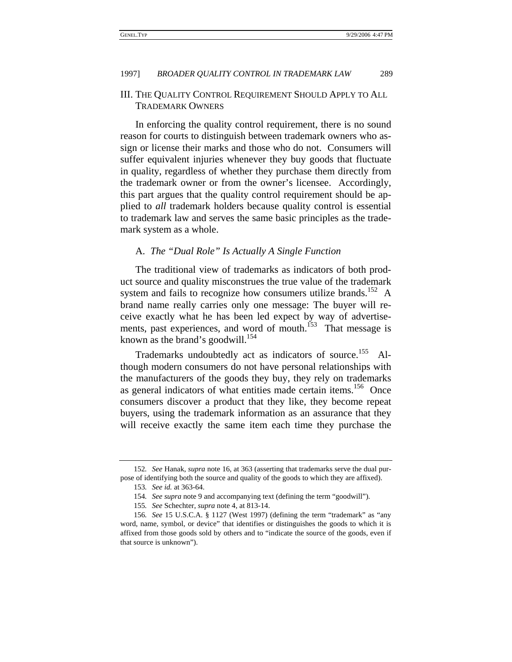# III. THE QUALITY CONTROL REQUIREMENT SHOULD APPLY TO ALL TRADEMARK OWNERS

In enforcing the quality control requirement, there is no sound reason for courts to distinguish between trademark owners who assign or license their marks and those who do not. Consumers will suffer equivalent injuries whenever they buy goods that fluctuate in quality, regardless of whether they purchase them directly from the trademark owner or from the owner's licensee. Accordingly, this part argues that the quality control requirement should be applied to *all* trademark holders because quality control is essential to trademark law and serves the same basic principles as the trademark system as a whole.

## A. *The "Dual Role" Is Actually A Single Function*

The traditional view of trademarks as indicators of both product source and quality misconstrues the true value of the trademark system and fails to recognize how consumers utilize brands.<sup>152</sup> A brand name really carries only one message: The buyer will receive exactly what he has been led expect by way of advertisements, past experiences, and word of mouth.<sup>153</sup> That message is known as the brand's goodwill.<sup>154</sup>

Trademarks undoubtedly act as indicators of source.<sup>155</sup> Although modern consumers do not have personal relationships with the manufacturers of the goods they buy, they rely on trademarks as general indicators of what entities made certain items.<sup>156</sup> Once consumers discover a product that they like, they become repeat buyers, using the trademark information as an assurance that they will receive exactly the same item each time they purchase the

<sup>152</sup>*. See* Hanak, *supra* note 16, at 363 (asserting that trademarks serve the dual purpose of identifying both the source and quality of the goods to which they are affixed).

<sup>153</sup>*. See id.* at 363-64.

<sup>154</sup>*. See supra* note 9 and accompanying text (defining the term "goodwill").

<sup>155</sup>*. See* Schechter, *supra* note 4, at 813-14.

<sup>156</sup>*. See* 15 U.S.C.A. § 1127 (West 1997) (defining the term "trademark" as "any word, name, symbol, or device" that identifies or distinguishes the goods to which it is affixed from those goods sold by others and to "indicate the source of the goods, even if that source is unknown").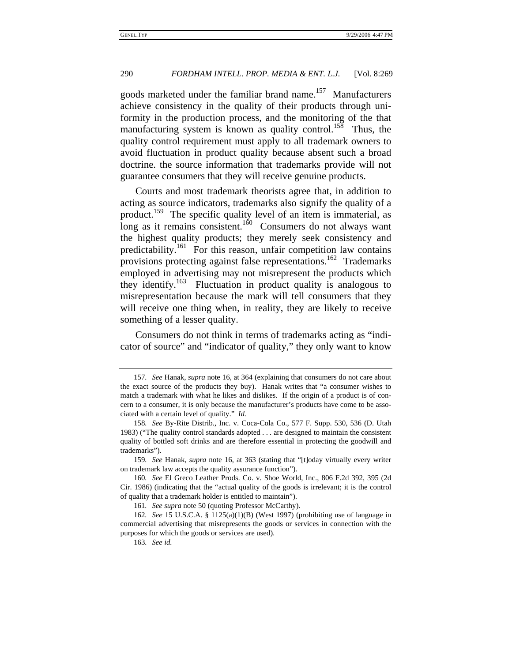goods marketed under the familiar brand name.<sup>157</sup> Manufacturers achieve consistency in the quality of their products through uniformity in the production process, and the monitoring of the that manufacturing system is known as quality control.<sup>158</sup> Thus, the quality control requirement must apply to all trademark owners to avoid fluctuation in product quality because absent such a broad doctrine. the source information that trademarks provide will not guarantee consumers that they will receive genuine products.

Courts and most trademark theorists agree that, in addition to acting as source indicators, trademarks also signify the quality of a product.159 The specific quality level of an item is immaterial, as  $\log$  as it remains consistent.<sup>160</sup> Consumers do not always want the highest quality products; they merely seek consistency and predictability.<sup>161</sup> For this reason, unfair competition law contains provisions protecting against false representations.<sup>162</sup> Trademarks employed in advertising may not misrepresent the products which they identify.<sup>163</sup> Fluctuation in product quality is analogous to misrepresentation because the mark will tell consumers that they will receive one thing when, in reality, they are likely to receive something of a lesser quality.

Consumers do not think in terms of trademarks acting as "indicator of source" and "indicator of quality," they only want to know

159*. See* Hanak, *supra* note 16, at 363 (stating that "[t]oday virtually every writer on trademark law accepts the quality assurance function").

<sup>157</sup>*. See* Hanak, *supra* note 16, at 364 (explaining that consumers do not care about the exact source of the products they buy). Hanak writes that "a consumer wishes to match a trademark with what he likes and dislikes. If the origin of a product is of concern to a consumer, it is only because the manufacturer's products have come to be associated with a certain level of quality." *Id.*

<sup>158</sup>*. See* By-Rite Distrib., Inc. v. Coca-Cola Co., 577 F. Supp. 530, 536 (D. Utah 1983) ("The quality control standards adopted . . . are designed to maintain the consistent quality of bottled soft drinks and are therefore essential in protecting the goodwill and trademarks").

<sup>160</sup>*. See* El Greco Leather Prods. Co. v. Shoe World, Inc., 806 F.2d 392, 395 (2d Cir. 1986) (indicating that the "actual quality of the goods is irrelevant; it is the control of quality that a trademark holder is entitled to maintain").

<sup>161</sup>*. See supra* note 50 (quoting Professor McCarthy).

<sup>162</sup>*. See* 15 U.S.C.A. § 1125(a)(1)(B) (West 1997) (prohibiting use of language in commercial advertising that misrepresents the goods or services in connection with the purposes for which the goods or services are used).

<sup>163</sup>*. See id.*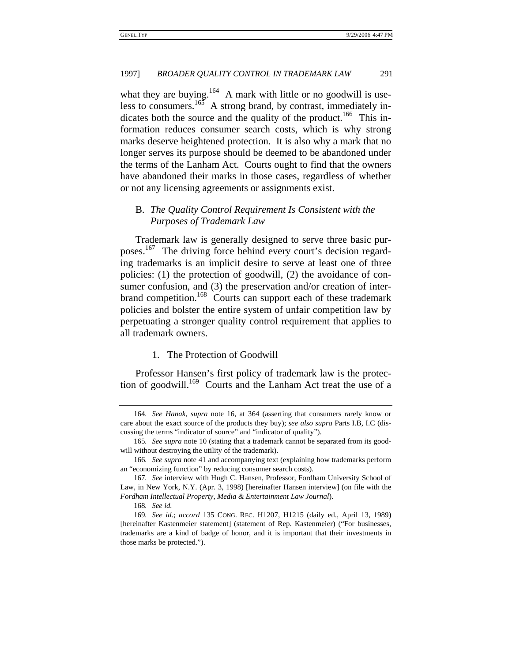what they are buying.<sup>164</sup> A mark with little or no goodwill is useless to consumers.<sup>165</sup> A strong brand, by contrast, immediately indicates both the source and the quality of the product.<sup>166</sup> This information reduces consumer search costs, which is why strong marks deserve heightened protection. It is also why a mark that no longer serves its purpose should be deemed to be abandoned under the terms of the Lanham Act. Courts ought to find that the owners have abandoned their marks in those cases, regardless of whether or not any licensing agreements or assignments exist.

# B. *The Quality Control Requirement Is Consistent with the Purposes of Trademark Law*

Trademark law is generally designed to serve three basic purposes.167 The driving force behind every court's decision regarding trademarks is an implicit desire to serve at least one of three policies: (1) the protection of goodwill, (2) the avoidance of consumer confusion, and (3) the preservation and/or creation of interbrand competition.<sup>168</sup> Courts can support each of these trademark policies and bolster the entire system of unfair competition law by perpetuating a stronger quality control requirement that applies to all trademark owners.

# 1. The Protection of Goodwill

Professor Hansen's first policy of trademark law is the protection of goodwill.<sup>169</sup> Courts and the Lanham Act treat the use of a

<sup>164</sup>*. See Hanak*, *supra* note 16, at 364 (asserting that consumers rarely know or care about the exact source of the products they buy); *see also supra* Parts I.B, I.C (discussing the terms "indicator of source" and "indicator of quality").

<sup>165</sup>*. See supra* note 10 (stating that a trademark cannot be separated from its goodwill without destroying the utility of the trademark).

<sup>166</sup>*. See supra* note 41 and accompanying text (explaining how trademarks perform an "economizing function" by reducing consumer search costs).

<sup>167</sup>*. See* interview with Hugh C. Hansen, Professor, Fordham University School of Law, in New York, N.Y. (Apr. 3, 1998) [hereinafter Hansen interview] (on file with the *Fordham Intellectual Property, Media & Entertainment Law Journal*).

<sup>168</sup>*. See id.*

<sup>169</sup>*. See id.*; *accord* 135 CONG. REC. H1207, H1215 (daily ed., April 13, 1989) [hereinafter Kastenmeier statement] (statement of Rep. Kastenmeier) ("For businesses, trademarks are a kind of badge of honor, and it is important that their investments in those marks be protected.").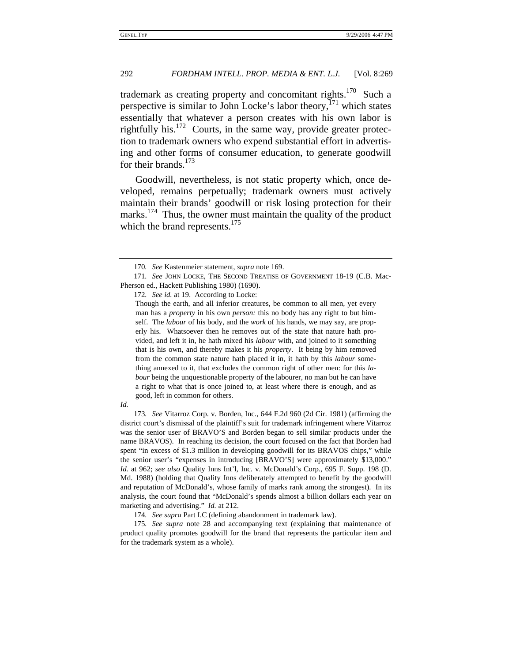trademark as creating property and concomitant rights.<sup>170</sup> Such a perspective is similar to John Locke's labor theory, $^{171}$  which states essentially that whatever a person creates with his own labor is rightfully his.172 Courts, in the same way, provide greater protection to trademark owners who expend substantial effort in advertising and other forms of consumer education, to generate goodwill for their brands.<sup>173</sup>

Goodwill, nevertheless, is not static property which, once developed, remains perpetually; trademark owners must actively maintain their brands' goodwill or risk losing protection for their marks. $174$  Thus, the owner must maintain the quality of the product which the brand represents.<sup>175</sup>

173*. See* Vitarroz Corp. v. Borden, Inc., 644 F.2d 960 (2d Cir. 1981) (affirming the district court's dismissal of the plaintiff's suit for trademark infringement where Vitarroz was the senior user of BRAVO'S and Borden began to sell similar products under the name BRAVOS). In reaching its decision, the court focused on the fact that Borden had spent "in excess of \$1.3 million in developing goodwill for its BRAVOS chips," while the senior user's "expenses in introducing [BRAVO'S] were approximately \$13,000." *Id.* at 962; *see also* Quality Inns Int'l, Inc. v. McDonald's Corp., 695 F. Supp. 198 (D. Md. 1988) (holding that Quality Inns deliberately attempted to benefit by the goodwill and reputation of McDonald's, whose family of marks rank among the strongest). In its analysis, the court found that "McDonald's spends almost a billion dollars each year on marketing and advertising." *Id.* at 212.

<sup>170</sup>*. See* Kastenmeier statement, *supra* note 169.

<sup>171</sup>*. See* JOHN LOCKE, THE SECOND TREATISE OF GOVERNMENT 18-19 (C.B. Mac-Pherson ed., Hackett Publishing 1980) (1690).

<sup>172</sup>*. See id.* at 19. According to Locke:

Though the earth, and all inferior creatures, be common to all men, yet every man has a *property* in his own *person:* this no body has any right to but himself. The *labour* of his body, and the *work* of his hands, we may say, are properly his. Whatsoever then he removes out of the state that nature hath provided, and left it in, he hath mixed his *labour* with, and joined to it something that is his own, and thereby makes it his *property*. It being by him removed from the common state nature hath placed it in, it hath by this *labour* something annexed to it, that excludes the common right of other men: for this *labour* being the unquestionable property of the labourer, no man but he can have a right to what that is once joined to, at least where there is enough, and as good, left in common for others.

*Id.*

<sup>174</sup>*. See supra* Part I.C (defining abandonment in trademark law).

<sup>175</sup>*. See supra* note 28 and accompanying text (explaining that maintenance of product quality promotes goodwill for the brand that represents the particular item and for the trademark system as a whole).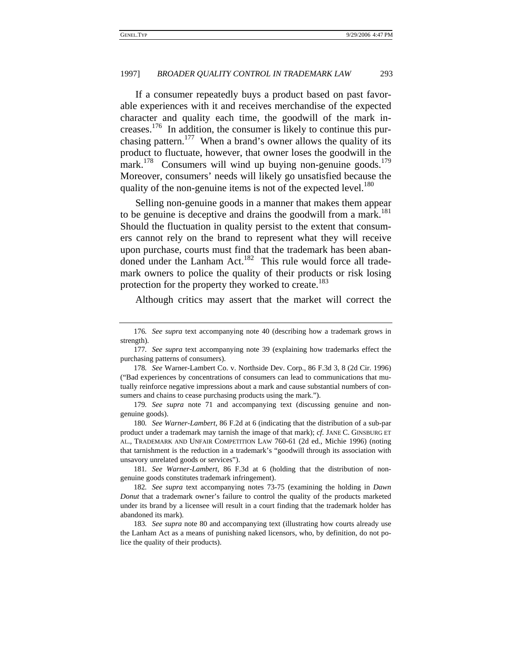If a consumer repeatedly buys a product based on past favorable experiences with it and receives merchandise of the expected character and quality each time, the goodwill of the mark increases.<sup>176</sup> In addition, the consumer is likely to continue this purchasing pattern.<sup>177</sup> When a brand's owner allows the quality of its product to fluctuate, however, that owner loses the goodwill in the mark.<sup>178</sup> Consumers will wind up buying non-genuine goods.<sup>179</sup> Moreover, consumers' needs will likely go unsatisfied because the quality of the non-genuine items is not of the expected level.<sup>180</sup>

Selling non-genuine goods in a manner that makes them appear to be genuine is deceptive and drains the goodwill from a mark.<sup>181</sup> Should the fluctuation in quality persist to the extent that consumers cannot rely on the brand to represent what they will receive upon purchase, courts must find that the trademark has been abandoned under the Lanham Act.<sup>182</sup> This rule would force all trademark owners to police the quality of their products or risk losing protection for the property they worked to create.<sup>183</sup>

Although critics may assert that the market will correct the

<sup>176</sup>*. See supra* text accompanying note 40 (describing how a trademark grows in strength).

<sup>177</sup>*. See supra* text accompanying note 39 (explaining how trademarks effect the purchasing patterns of consumers).

<sup>178</sup>*. See* Warner-Lambert Co. v. Northside Dev. Corp., 86 F.3d 3, 8 (2d Cir. 1996) ("Bad experiences by concentrations of consumers can lead to communications that mutually reinforce negative impressions about a mark and cause substantial numbers of consumers and chains to cease purchasing products using the mark.").

<sup>179</sup>*. See supra* note 71 and accompanying text (discussing genuine and nongenuine goods).

<sup>180</sup>*. See Warner-Lambert*, 86 F.2d at 6 (indicating that the distribution of a sub-par product under a trademark may tarnish the image of that mark); *cf.* JANE C. GINSBURG ET AL., TRADEMARK AND UNFAIR COMPETITION LAW 760-61 (2d ed., Michie 1996) (noting that tarnishment is the reduction in a trademark's "goodwill through its association with unsavory unrelated goods or services").

<sup>181</sup>*. See Warner-Lambert*, 86 F.3d at 6 (holding that the distribution of nongenuine goods constitutes trademark infringement).

<sup>182</sup>*. See supra* text accompanying notes 73-75 (examining the holding in *Dawn Donut* that a trademark owner's failure to control the quality of the products marketed under its brand by a licensee will result in a court finding that the trademark holder has abandoned its mark).

<sup>183</sup>*. See supra* note 80 and accompanying text (illustrating how courts already use the Lanham Act as a means of punishing naked licensors, who, by definition, do not police the quality of their products).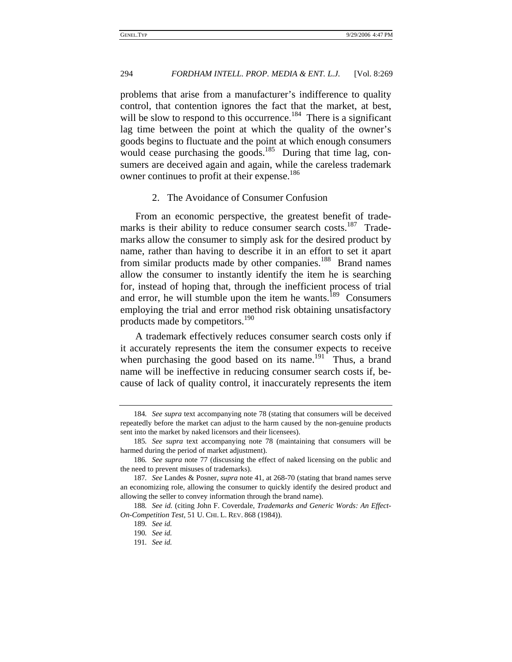problems that arise from a manufacturer's indifference to quality control, that contention ignores the fact that the market, at best, will be slow to respond to this occurrence.<sup>184</sup> There is a significant lag time between the point at which the quality of the owner's goods begins to fluctuate and the point at which enough consumers would cease purchasing the goods.<sup>185</sup> During that time lag, consumers are deceived again and again, while the careless trademark owner continues to profit at their expense.<sup>186</sup>

### 2. The Avoidance of Consumer Confusion

From an economic perspective, the greatest benefit of trademarks is their ability to reduce consumer search costs.<sup>187</sup> Trademarks allow the consumer to simply ask for the desired product by name, rather than having to describe it in an effort to set it apart from similar products made by other companies.<sup>188</sup> Brand names allow the consumer to instantly identify the item he is searching for, instead of hoping that, through the inefficient process of trial and error, he will stumble upon the item he wants.<sup>189</sup> Consumers employing the trial and error method risk obtaining unsatisfactory products made by competitors.<sup>190</sup>

A trademark effectively reduces consumer search costs only if it accurately represents the item the consumer expects to receive when purchasing the good based on its name.<sup>191</sup> Thus, a brand name will be ineffective in reducing consumer search costs if, because of lack of quality control, it inaccurately represents the item

<sup>184</sup>*. See supra* text accompanying note 78 (stating that consumers will be deceived repeatedly before the market can adjust to the harm caused by the non-genuine products sent into the market by naked licensors and their licensees).

<sup>185</sup>*. See supra* text accompanying note 78 (maintaining that consumers will be harmed during the period of market adjustment).

<sup>186</sup>*. See supra* note 77 (discussing the effect of naked licensing on the public and the need to prevent misuses of trademarks).

<sup>187</sup>*. See* Landes & Posner, *supra* note 41, at 268-70 (stating that brand names serve an economizing role, allowing the consumer to quickly identify the desired product and allowing the seller to convey information through the brand name).

<sup>188</sup>*. See id.* (citing John F. Coverdale, *Trademarks and Generic Words: An Effect-On-Competition Test*, 51 U. CHI. L. REV. 868 (1984)).

<sup>189</sup>*. See id.*

<sup>190</sup>*. See id.*

<sup>191</sup>*. See id.*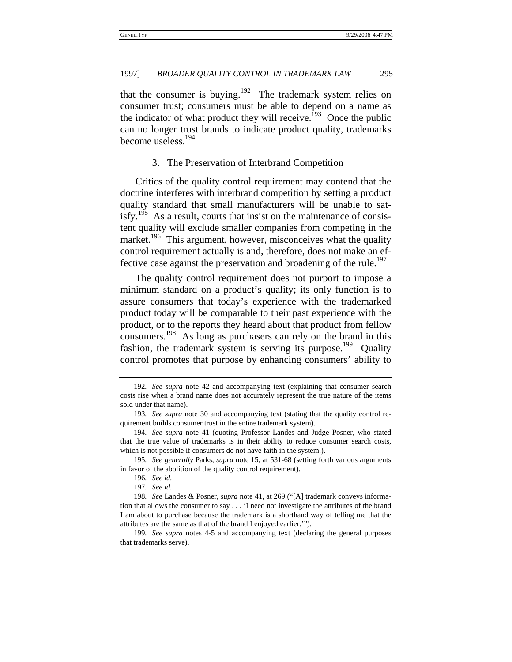that the consumer is buying.<sup>192</sup> The trademark system relies on consumer trust; consumers must be able to depend on a name as the indicator of what product they will receive.<sup>193</sup> Once the public can no longer trust brands to indicate product quality, trademarks become useless.194

3. The Preservation of Interbrand Competition

Critics of the quality control requirement may contend that the doctrine interferes with interbrand competition by setting a product quality standard that small manufacturers will be unable to satisfy.<sup>195</sup> As a result, courts that insist on the maintenance of consistent quality will exclude smaller companies from competing in the market.<sup>196</sup> This argument, however, misconceives what the quality control requirement actually is and, therefore, does not make an effective case against the preservation and broadening of the rule.<sup>197</sup>

The quality control requirement does not purport to impose a minimum standard on a product's quality; its only function is to assure consumers that today's experience with the trademarked product today will be comparable to their past experience with the product, or to the reports they heard about that product from fellow consumers.198 As long as purchasers can rely on the brand in this fashion, the trademark system is serving its purpose.<sup>199</sup> Quality control promotes that purpose by enhancing consumers' ability to

<sup>192</sup>*. See supra* note 42 and accompanying text (explaining that consumer search costs rise when a brand name does not accurately represent the true nature of the items sold under that name).

<sup>193</sup>*. See supra* note 30 and accompanying text (stating that the quality control requirement builds consumer trust in the entire trademark system).

<sup>194</sup>*. See supra* note 41 (quoting Professor Landes and Judge Posner, who stated that the true value of trademarks is in their ability to reduce consumer search costs, which is not possible if consumers do not have faith in the system.).

<sup>195</sup>*. See generally* Parks, *supra* note 15, at 531-68 (setting forth various arguments in favor of the abolition of the quality control requirement).

<sup>196</sup>*. See id.*

<sup>197</sup>*. See id.*

<sup>198</sup>*. See* Landes & Posner, *supra* note 41, at 269 ("[A] trademark conveys information that allows the consumer to say . . . 'I need not investigate the attributes of the brand I am about to purchase because the trademark is a shorthand way of telling me that the attributes are the same as that of the brand I enjoyed earlier.'").

<sup>199</sup>*. See supra* notes 4-5 and accompanying text (declaring the general purposes that trademarks serve).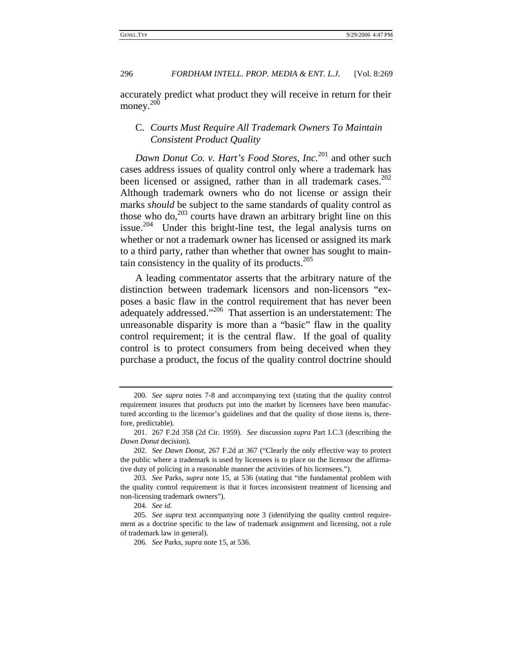accurately predict what product they will receive in return for their money.<sup>200</sup>

# C. *Courts Must Require All Trademark Owners To Maintain Consistent Product Quality*

*Dawn Donut Co. v. Hart's Food Stores, Inc.*<sup>201</sup> and other such cases address issues of quality control only where a trademark has been licensed or assigned, rather than in all trademark cases.<sup>202</sup> Although trademark owners who do not license or assign their marks *should* be subject to the same standards of quality control as those who do, $203$  courts have drawn an arbitrary bright line on this issue.<sup>204</sup> Under this bright-line test, the legal analysis turns on whether or not a trademark owner has licensed or assigned its mark to a third party, rather than whether that owner has sought to maintain consistency in the quality of its products. $205$ 

A leading commentator asserts that the arbitrary nature of the distinction between trademark licensors and non-licensors "exposes a basic flaw in the control requirement that has never been adequately addressed."206 That assertion is an understatement: The unreasonable disparity is more than a "basic" flaw in the quality control requirement; it is the central flaw. If the goal of quality control is to protect consumers from being deceived when they purchase a product, the focus of the quality control doctrine should

<sup>200</sup>*. See supra* notes 7-8 and accompanying text (stating that the quality control requirement insures that products put into the market by licensees have been manufactured according to the licensor's guidelines and that the quality of those items is, therefore, predictable).

<sup>201. 267</sup> F.2d 358 (2d Cir. 1959). *See* discussion *supra* Part I.C.3 (describing the *Dawn Donut* decision).

<sup>202</sup>*. See Dawn Donut*, 267 F.2d at 367 ("Clearly the only effective way to protect the public where a trademark is used by licensees is to place on the licensor the affirmative duty of policing in a reasonable manner the activities of his licensees.").

<sup>203</sup>*. See* Parks, *supra* note 15, at 536 (stating that "the fundamental problem with the quality control requirement is that it forces inconsistent treatment of licensing and non-licensing trademark owners").

<sup>204</sup>*. See id.*

<sup>205</sup>*. See supra* text accompanying note 3 (identifying the quality control requirement as a doctrine specific to the law of trademark assignment and licensing, not a rule of trademark law in general).

<sup>206</sup>*. See* Parks, *supra* note 15, at 536.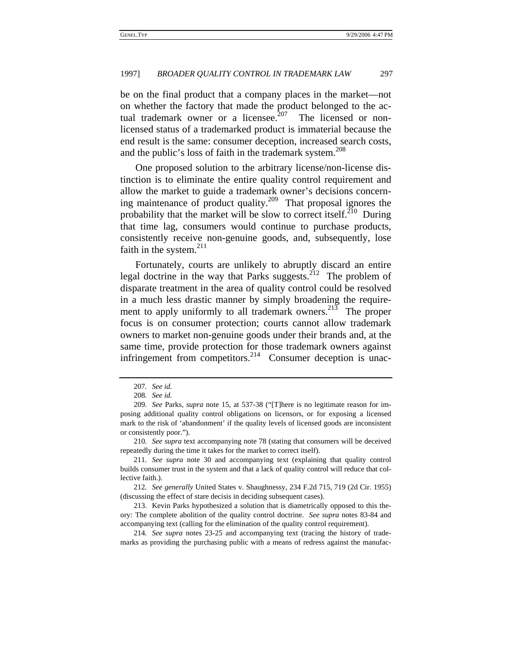be on the final product that a company places in the market—not on whether the factory that made the product belonged to the actual trademark owner or a licensee.<sup>207</sup> The licensed or nonlicensed status of a trademarked product is immaterial because the end result is the same: consumer deception, increased search costs, and the public's loss of faith in the trademark system.<sup>208</sup>

One proposed solution to the arbitrary license/non-license distinction is to eliminate the entire quality control requirement and allow the market to guide a trademark owner's decisions concerning maintenance of product quality.<sup>209</sup> That proposal ignores the probability that the market will be slow to correct itself.<sup>210</sup> During that time lag, consumers would continue to purchase products, consistently receive non-genuine goods, and, subsequently, lose faith in the system. $^{211}$ 

Fortunately, courts are unlikely to abruptly discard an entire legal doctrine in the way that Parks suggests.<sup>212</sup> The problem of disparate treatment in the area of quality control could be resolved in a much less drastic manner by simply broadening the requirement to apply uniformly to all trademark owners.<sup>213</sup> The proper focus is on consumer protection; courts cannot allow trademark owners to market non-genuine goods under their brands and, at the same time, provide protection for those trademark owners against infringement from competitors.<sup>214</sup> Consumer deception is unac-

214*. See supra* notes 23-25 and accompanying text (tracing the history of trademarks as providing the purchasing public with a means of redress against the manufac-

<sup>207</sup>*. See id.*

<sup>208</sup>*. See id.*

<sup>209</sup>*. See* Parks, *supra* note 15, at 537-38 ("[T]here is no legitimate reason for imposing additional quality control obligations on licensors, or for exposing a licensed mark to the risk of 'abandonment' if the quality levels of licensed goods are inconsistent or consistently poor.").

<sup>210</sup>*. See supra* text accompanying note 78 (stating that consumers will be deceived repeatedly during the time it takes for the market to correct itself).

<sup>211</sup>*. See supra* note 30 and accompanying text (explaining that quality control builds consumer trust in the system and that a lack of quality control will reduce that collective faith.).

<sup>212</sup>*. See generally* United States v. Shaughnessy, 234 F.2d 715, 719 (2d Cir. 1955) (discussing the effect of stare decisis in deciding subsequent cases).

<sup>213.</sup> Kevin Parks hypothesized a solution that is diametrically opposed to this theory: The complete abolition of the quality control doctrine. *See supra* notes 83-84 and accompanying text (calling for the elimination of the quality control requirement).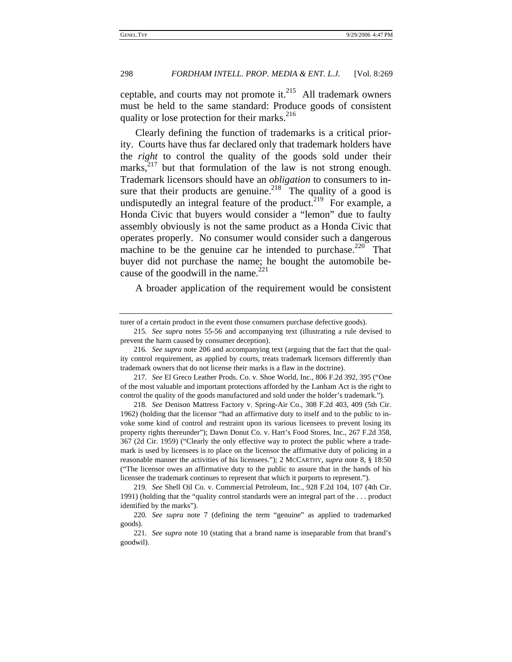ceptable, and courts may not promote it. $^{215}$  All trademark owners must be held to the same standard: Produce goods of consistent quality or lose protection for their marks. $^{216}$ 

Clearly defining the function of trademarks is a critical priority. Courts have thus far declared only that trademark holders have the *right* to control the quality of the goods sold under their marks, $2^{17}$  but that formulation of the law is not strong enough. Trademark licensors should have an *obligation* to consumers to insure that their products are genuine.<sup>218</sup> The quality of a good is undisputedly an integral feature of the product.<sup>219</sup> For example, a Honda Civic that buyers would consider a "lemon" due to faulty assembly obviously is not the same product as a Honda Civic that operates properly. No consumer would consider such a dangerous machine to be the genuine car he intended to purchase.<sup>220</sup> That buyer did not purchase the name; he bought the automobile because of the goodwill in the name.<sup>221</sup>

A broader application of the requirement would be consistent

turer of a certain product in the event those consumers purchase defective goods).

<sup>215</sup>*. See supra* notes 55-56 and accompanying text (illustrating a rule devised to prevent the harm caused by consumer deception).

<sup>216</sup>*. See supra* note 206 and accompanying text (arguing that the fact that the quality control requirement, as applied by courts, treats trademark licensors differently than trademark owners that do not license their marks is a flaw in the doctrine).

<sup>217</sup>*. See* El Greco Leather Prods. Co. v. Shoe World, Inc., 806 F.2d 392, 395 ("One of the most valuable and important protections afforded by the Lanham Act is the right to control the quality of the goods manufactured and sold under the holder's trademark.").

<sup>218</sup>*. See* Denison Mattress Factory v. Spring-Air Co., 308 F.2d 403, 409 (5th Cir. 1962) (holding that the licensor "had an affirmative duty to itself and to the public to invoke some kind of control and restraint upon its various licensees to prevent losing its property rights thereunder"); Dawn Donut Co. v. Hart's Food Stores, Inc., 267 F.2d 358, 367 (2d Cir. 1959) ("Clearly the only effective way to protect the public where a trademark is used by licensees is to place on the licensor the affirmative duty of policing in a reasonable manner the activities of his licensees."); 2 MCCARTHY, *supra* note 8, § 18:50 ("The licensor owes an affirmative duty to the public to assure that in the hands of his licensee the trademark continues to represent that which it purports to represent.").

<sup>219</sup>*. See* Shell Oil Co. v. Commercial Petroleum, Inc., 928 F.2d 104, 107 (4th Cir. 1991) (holding that the "quality control standards were an integral part of the . . . product identified by the marks").

<sup>220</sup>*. See supra* note 7 (defining the term "genuine" as applied to trademarked goods).

<sup>221</sup>*. See supra* note 10 (stating that a brand name is inseparable from that brand's goodwil).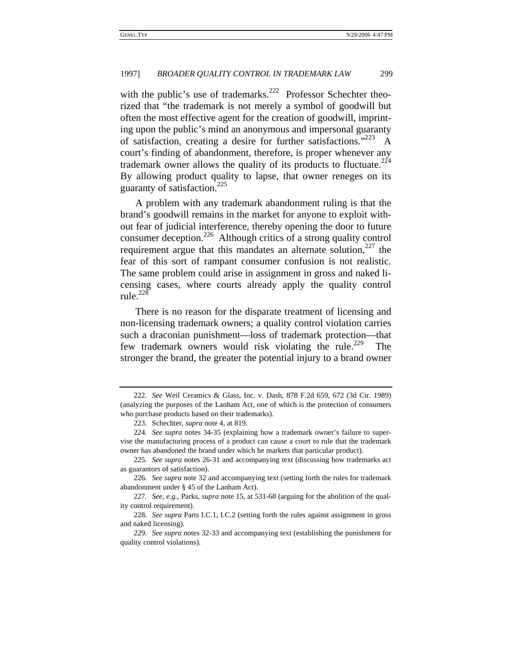with the public's use of trademarks.<sup>222</sup> Professor Schechter theorized that "the trademark is not merely a symbol of goodwill but often the most effective agent for the creation of goodwill, imprinting upon the public's mind an anonymous and impersonal guaranty of satisfaction, creating a desire for further satisfactions."  $223$  A court's finding of abandonment, therefore, is proper whenever any trademark owner allows the quality of its products to fluctuate. $224$ By allowing product quality to lapse, that owner reneges on its guaranty of satisfaction. $225$ 

A problem with any trademark abandonment ruling is that the brand's goodwill remains in the market for anyone to exploit without fear of judicial interference, thereby opening the door to future consumer deception.<sup>226</sup> Although critics of a strong quality control requirement argue that this mandates an alternate solution,  $227$  the fear of this sort of rampant consumer confusion is not realistic. The same problem could arise in assignment in gross and naked licensing cases, where courts already apply the quality control rule. $^{228}$ 

There is no reason for the disparate treatment of licensing and non-licensing trademark owners; a quality control violation carries such a draconian punishment—loss of trademark protection—that few trademark owners would risk violating the rule.<sup>229</sup> The stronger the brand, the greater the potential injury to a brand owner

225*. See supra* notes 26-31 and accompanying text (discussing how trademarks act as guarantors of satisfaction).

<sup>222</sup>*. See* Weil Ceramics & Glass, Inc. v. Dash, 878 F.2d 659, 672 (3d Cir. 1989) (analyzing the purposes of the Lanham Act, one of which is the protection of consumers who purchase products based on their trademarks).

<sup>223.</sup> Schechter, *supra* note 4, at 819.

<sup>224</sup>*. See supra* notes 34-35 (explaining how a trademark owner's failure to supervise the manufacturing process of a product can cause a court to rule that the trademark owner has abandoned the brand under which he markets that particular product).

<sup>226</sup>*. See supra* note 32 and accompanying text (setting forth the rules for trademark abandonment under § 45 of the Lanham Act).

<sup>227</sup>*. See, e.g.*, Parks, *supra* note 15, at 531-68 (arguing for the abolition of the quality control requirement).

<sup>228</sup>*. See supra* Parts I.C.1, I.C.2 (setting forth the rules against assignment in gross and naked licensing).

<sup>229</sup>*. See supra* notes 32-33 and accompanying text (establishing the punishment for quality control violations).